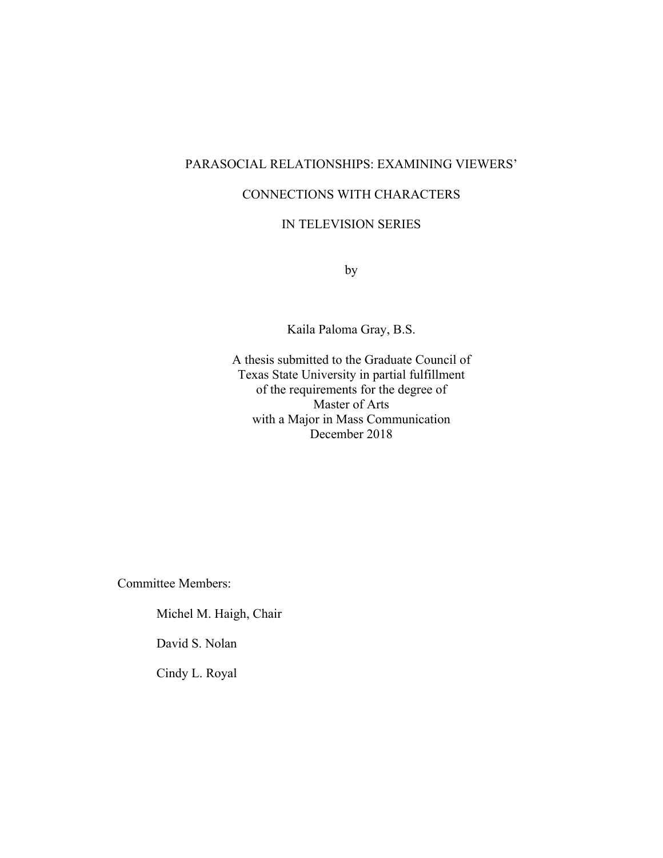# PARASOCIAL RELATIONSHIPS: EXAMINING VIEWERS'

# CONNECTIONS WITH CHARACTERS

# IN TELEVISION SERIES

by

Kaila Paloma Gray, B.S.

A thesis submitted to the Graduate Council of Texas State University in partial fulfillment of the requirements for the degree of Master of Arts with a Major in Mass Communication December 2018

Committee Members:

Michel M. Haigh, Chair

David S. Nolan

Cindy L. Royal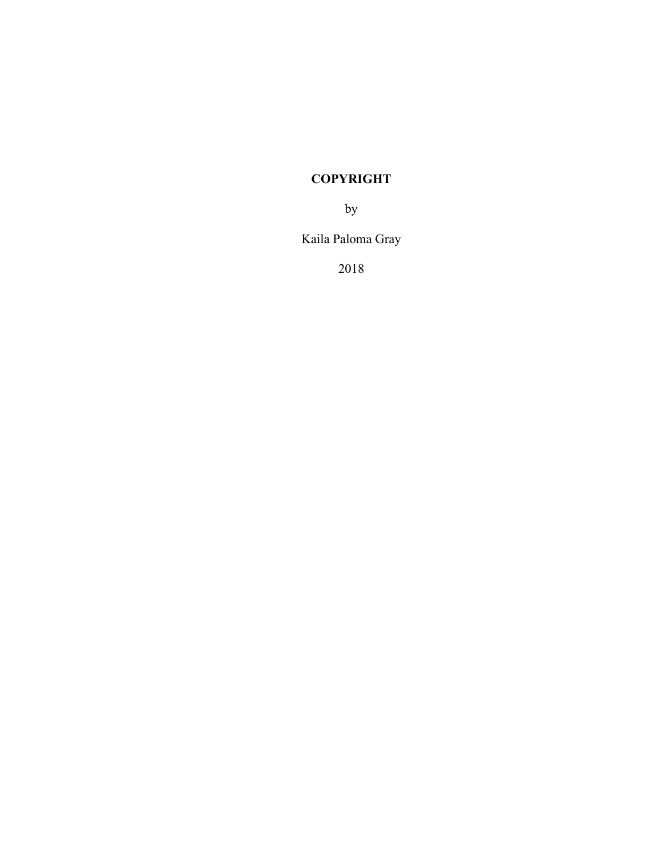# **COPYRIGHT**

by

Kaila Paloma Gray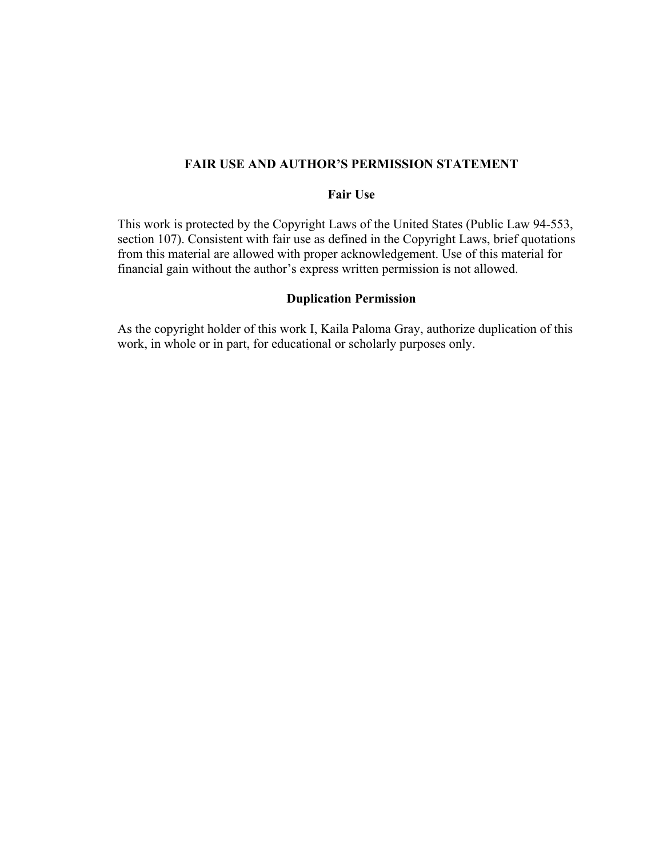# **FAIR USE AND AUTHOR'S PERMISSION STATEMENT**

# **Fair Use**

This work is protected by the Copyright Laws of the United States (Public Law 94-553, section 107). Consistent with fair use as defined in the Copyright Laws, brief quotations from this material are allowed with proper acknowledgement. Use of this material for financial gain without the author's express written permission is not allowed.

# **Duplication Permission**

As the copyright holder of this work I, Kaila Paloma Gray, authorize duplication of this work, in whole or in part, for educational or scholarly purposes only.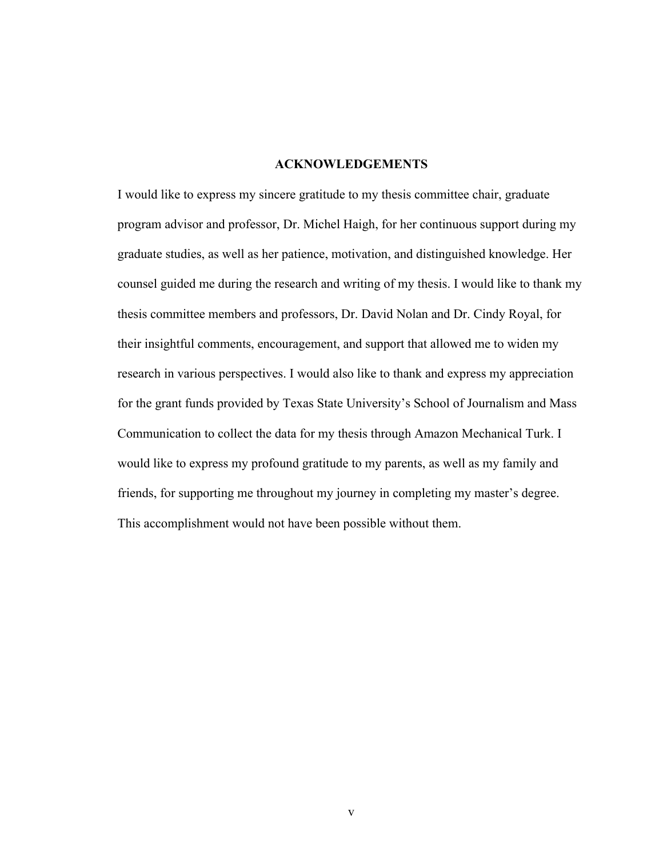#### **ACKNOWLEDGEMENTS**

I would like to express my sincere gratitude to my thesis committee chair, graduate program advisor and professor, Dr. Michel Haigh, for her continuous support during my graduate studies, as well as her patience, motivation, and distinguished knowledge. Her counsel guided me during the research and writing of my thesis. I would like to thank my thesis committee members and professors, Dr. David Nolan and Dr. Cindy Royal, for their insightful comments, encouragement, and support that allowed me to widen my research in various perspectives. I would also like to thank and express my appreciation for the grant funds provided by Texas State University's School of Journalism and Mass Communication to collect the data for my thesis through Amazon Mechanical Turk. I would like to express my profound gratitude to my parents, as well as my family and friends, for supporting me throughout my journey in completing my master's degree. This accomplishment would not have been possible without them.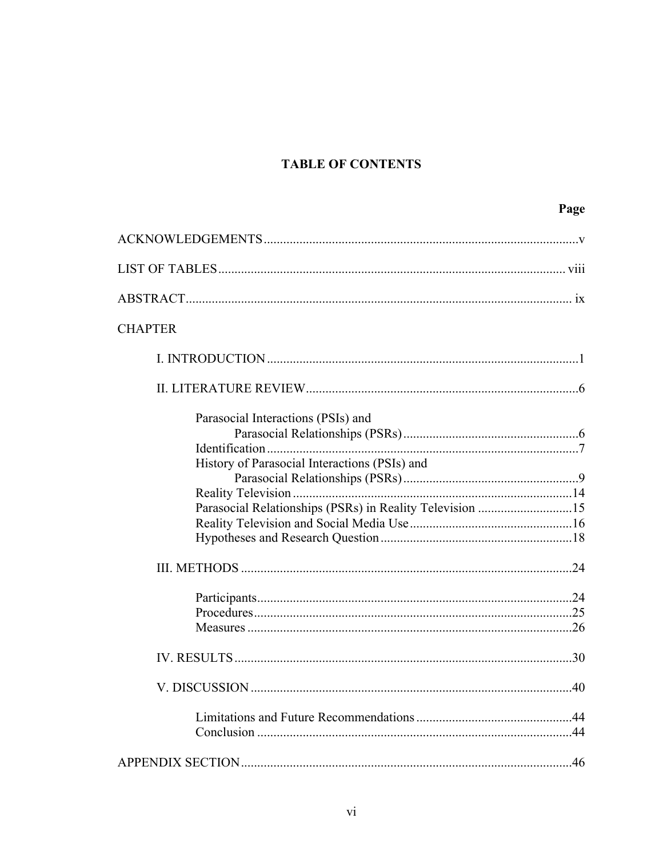# **TABLE OF CONTENTS**

| <b>CHAPTER</b>                                           |  |
|----------------------------------------------------------|--|
|                                                          |  |
|                                                          |  |
| Parasocial Interactions (PSIs) and                       |  |
|                                                          |  |
| History of Parasocial Interactions (PSIs) and            |  |
|                                                          |  |
|                                                          |  |
| Parasocial Relationships (PSRs) in Reality Television 15 |  |
|                                                          |  |
|                                                          |  |
|                                                          |  |
|                                                          |  |
|                                                          |  |
|                                                          |  |
|                                                          |  |
|                                                          |  |
|                                                          |  |
|                                                          |  |
|                                                          |  |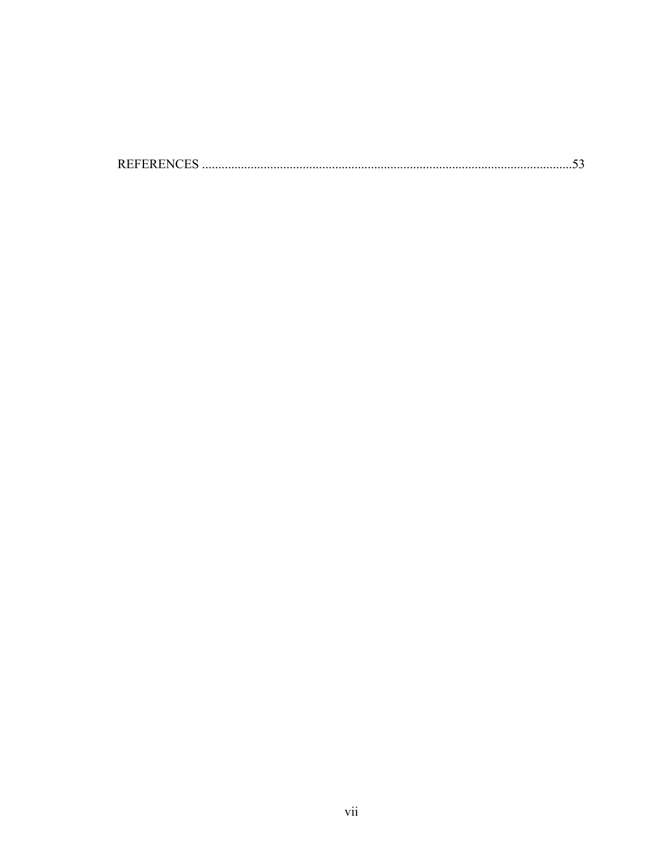| <b>REFERENCES</b> |  |
|-------------------|--|
|-------------------|--|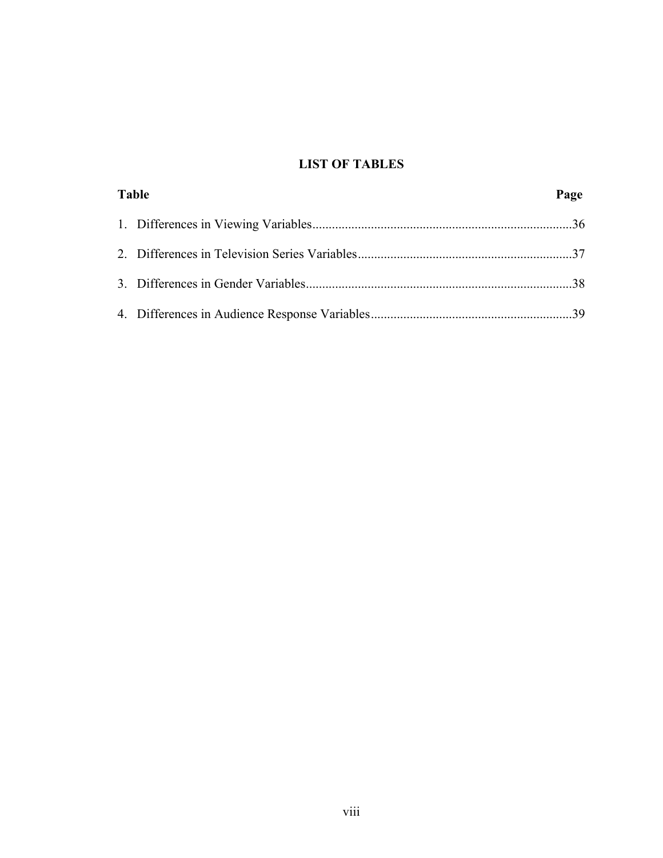# **LIST OF TABLES**

| <b>Table</b> | Page |
|--------------|------|
|              |      |
|              |      |
|              |      |
|              |      |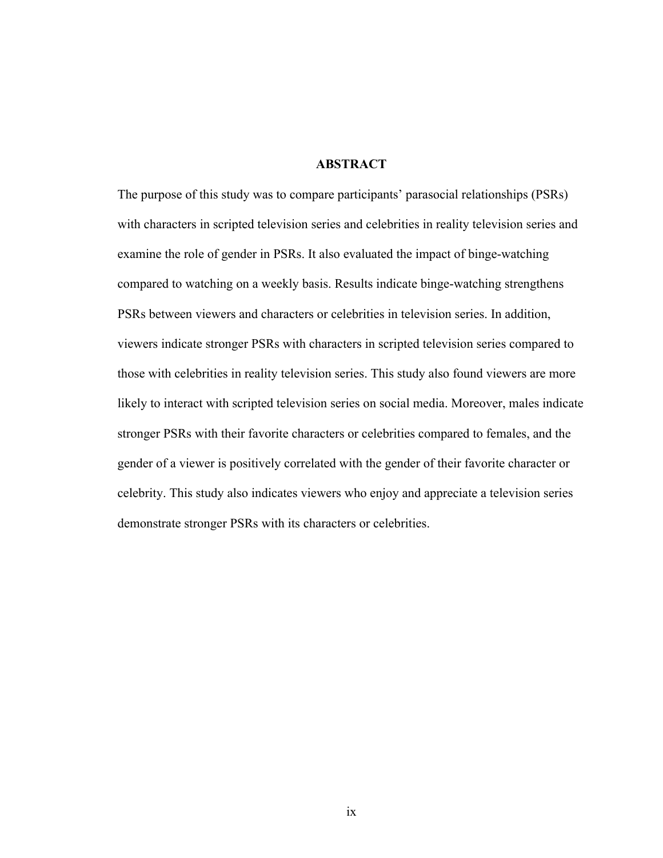# **ABSTRACT**

The purpose of this study was to compare participants' parasocial relationships (PSRs) with characters in scripted television series and celebrities in reality television series and examine the role of gender in PSRs. It also evaluated the impact of binge-watching compared to watching on a weekly basis. Results indicate binge-watching strengthens PSRs between viewers and characters or celebrities in television series. In addition, viewers indicate stronger PSRs with characters in scripted television series compared to those with celebrities in reality television series. This study also found viewers are more likely to interact with scripted television series on social media. Moreover, males indicate stronger PSRs with their favorite characters or celebrities compared to females, and the gender of a viewer is positively correlated with the gender of their favorite character or celebrity. This study also indicates viewers who enjoy and appreciate a television series demonstrate stronger PSRs with its characters or celebrities.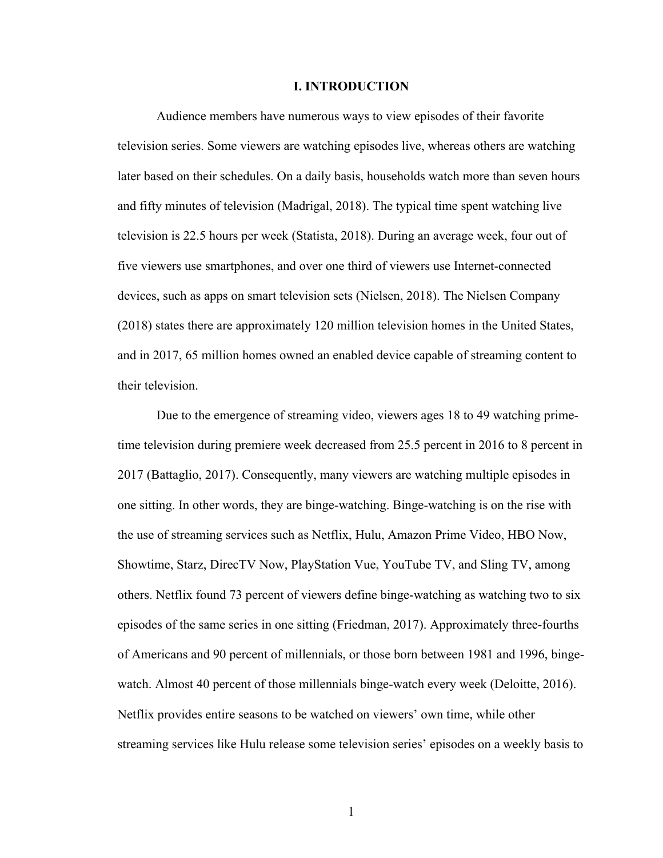#### **I. INTRODUCTION**

Audience members have numerous ways to view episodes of their favorite television series. Some viewers are watching episodes live, whereas others are watching later based on their schedules. On a daily basis, households watch more than seven hours and fifty minutes of television (Madrigal, 2018). The typical time spent watching live television is 22.5 hours per week (Statista, 2018). During an average week, four out of five viewers use smartphones, and over one third of viewers use Internet-connected devices, such as apps on smart television sets (Nielsen, 2018). The Nielsen Company (2018) states there are approximately 120 million television homes in the United States, and in 2017, 65 million homes owned an enabled device capable of streaming content to their television.

Due to the emergence of streaming video, viewers ages 18 to 49 watching primetime television during premiere week decreased from 25.5 percent in 2016 to 8 percent in 2017 (Battaglio, 2017). Consequently, many viewers are watching multiple episodes in one sitting. In other words, they are binge-watching. Binge-watching is on the rise with the use of streaming services such as Netflix, Hulu, Amazon Prime Video, HBO Now, Showtime, Starz, DirecTV Now, PlayStation Vue, YouTube TV, and Sling TV, among others. Netflix found 73 percent of viewers define binge-watching as watching two to six episodes of the same series in one sitting (Friedman, 2017). Approximately three-fourths of Americans and 90 percent of millennials, or those born between 1981 and 1996, bingewatch. Almost 40 percent of those millennials binge-watch every week (Deloitte, 2016). Netflix provides entire seasons to be watched on viewers' own time, while other streaming services like Hulu release some television series' episodes on a weekly basis to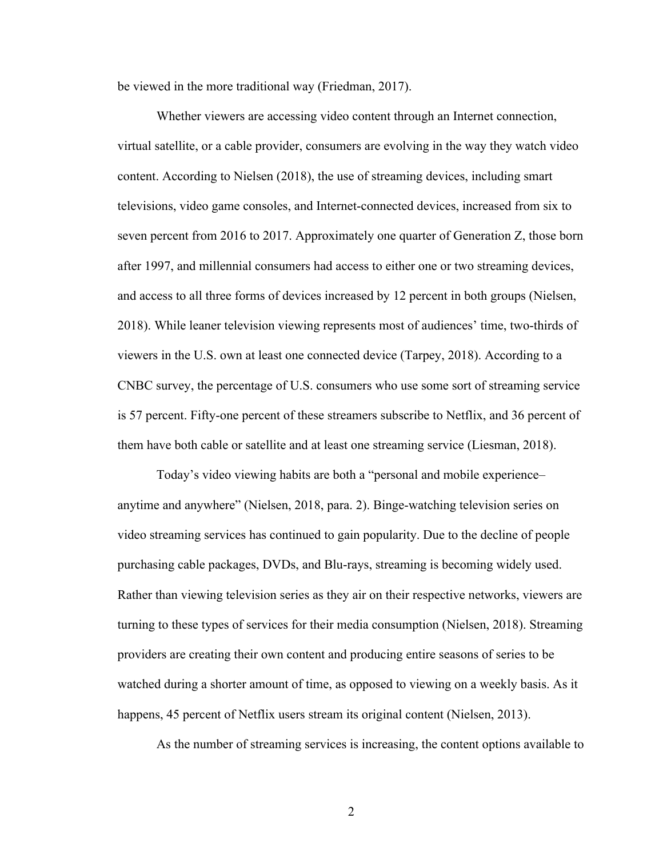be viewed in the more traditional way (Friedman, 2017).

Whether viewers are accessing video content through an Internet connection, virtual satellite, or a cable provider, consumers are evolving in the way they watch video content. According to Nielsen (2018), the use of streaming devices, including smart televisions, video game consoles, and Internet-connected devices, increased from six to seven percent from 2016 to 2017. Approximately one quarter of Generation Z, those born after 1997, and millennial consumers had access to either one or two streaming devices, and access to all three forms of devices increased by 12 percent in both groups (Nielsen, 2018). While leaner television viewing represents most of audiences' time, two-thirds of viewers in the U.S. own at least one connected device (Tarpey, 2018). According to a CNBC survey, the percentage of U.S. consumers who use some sort of streaming service is 57 percent. Fifty-one percent of these streamers subscribe to Netflix, and 36 percent of them have both cable or satellite and at least one streaming service (Liesman, 2018).

Today's video viewing habits are both a "personal and mobile experience– anytime and anywhere" (Nielsen, 2018, para. 2). Binge-watching television series on video streaming services has continued to gain popularity. Due to the decline of people purchasing cable packages, DVDs, and Blu-rays, streaming is becoming widely used. Rather than viewing television series as they air on their respective networks, viewers are turning to these types of services for their media consumption (Nielsen, 2018). Streaming providers are creating their own content and producing entire seasons of series to be watched during a shorter amount of time, as opposed to viewing on a weekly basis. As it happens, 45 percent of Netflix users stream its original content (Nielsen, 2013).

As the number of streaming services is increasing, the content options available to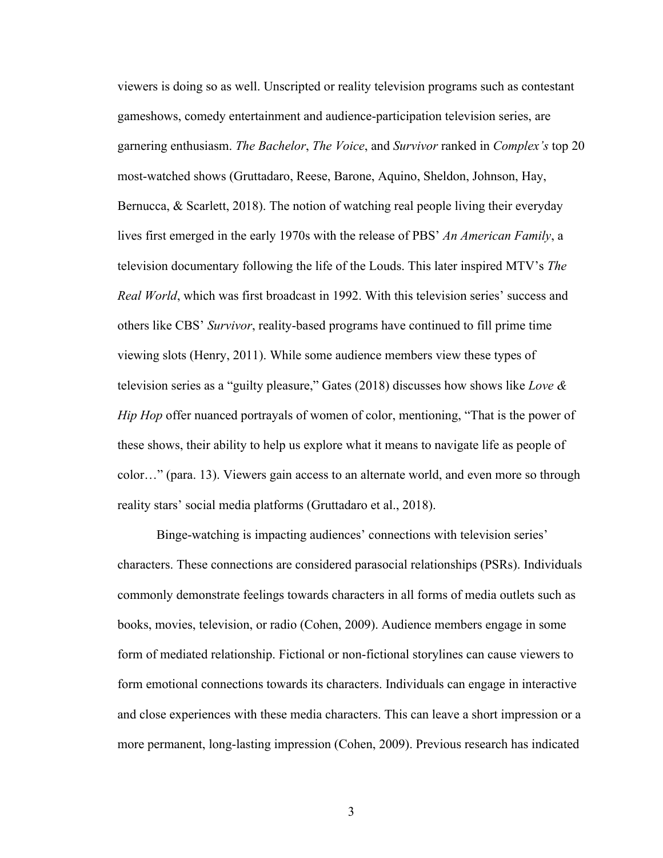viewers is doing so as well. Unscripted or reality television programs such as contestant gameshows, comedy entertainment and audience-participation television series, are garnering enthusiasm. *The Bachelor*, *The Voice*, and *Survivor* ranked in *Complex's* top 20 most-watched shows (Gruttadaro, Reese, Barone, Aquino, Sheldon, Johnson, Hay, Bernucca, & Scarlett, 2018). The notion of watching real people living their everyday lives first emerged in the early 1970s with the release of PBS' *An American Family*, a television documentary following the life of the Louds. This later inspired MTV's *The Real World*, which was first broadcast in 1992. With this television series' success and others like CBS' *Survivor*, reality-based programs have continued to fill prime time viewing slots (Henry, 2011). While some audience members view these types of television series as a "guilty pleasure," Gates (2018) discusses how shows like *Love & Hip Hop* offer nuanced portrayals of women of color, mentioning, "That is the power of these shows, their ability to help us explore what it means to navigate life as people of color…" (para. 13). Viewers gain access to an alternate world, and even more so through reality stars' social media platforms (Gruttadaro et al., 2018).

Binge-watching is impacting audiences' connections with television series' characters. These connections are considered parasocial relationships (PSRs). Individuals commonly demonstrate feelings towards characters in all forms of media outlets such as books, movies, television, or radio (Cohen, 2009). Audience members engage in some form of mediated relationship. Fictional or non-fictional storylines can cause viewers to form emotional connections towards its characters. Individuals can engage in interactive and close experiences with these media characters. This can leave a short impression or a more permanent, long-lasting impression (Cohen, 2009). Previous research has indicated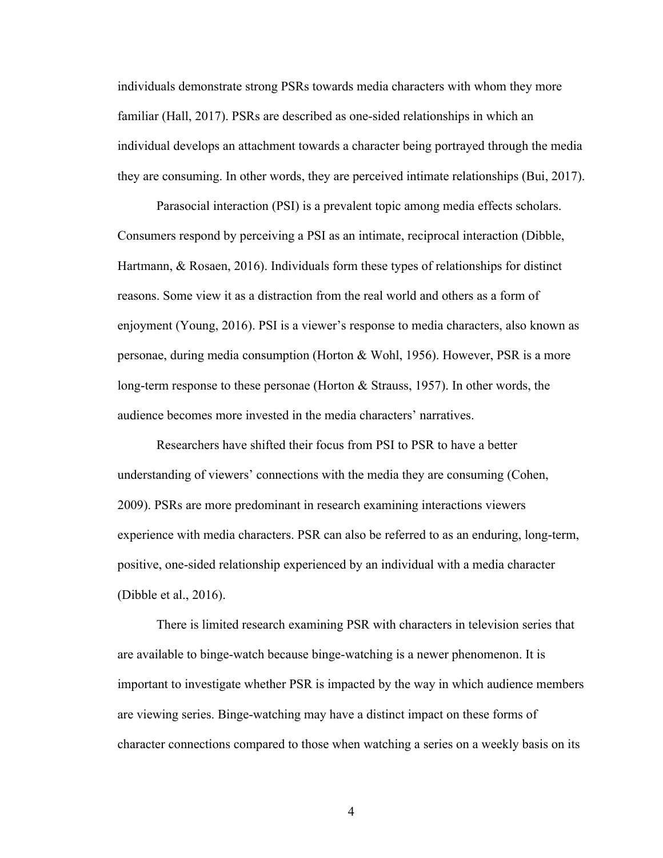individuals demonstrate strong PSRs towards media characters with whom they more familiar (Hall, 2017). PSRs are described as one-sided relationships in which an individual develops an attachment towards a character being portrayed through the media they are consuming. In other words, they are perceived intimate relationships (Bui, 2017).

Parasocial interaction (PSI) is a prevalent topic among media effects scholars. Consumers respond by perceiving a PSI as an intimate, reciprocal interaction (Dibble, Hartmann, & Rosaen, 2016). Individuals form these types of relationships for distinct reasons. Some view it as a distraction from the real world and others as a form of enjoyment (Young, 2016). PSI is a viewer's response to media characters, also known as personae, during media consumption (Horton & Wohl, 1956). However, PSR is a more long-term response to these personae (Horton & Strauss, 1957). In other words, the audience becomes more invested in the media characters' narratives.

Researchers have shifted their focus from PSI to PSR to have a better understanding of viewers' connections with the media they are consuming (Cohen, 2009). PSRs are more predominant in research examining interactions viewers experience with media characters. PSR can also be referred to as an enduring, long-term, positive, one-sided relationship experienced by an individual with a media character (Dibble et al., 2016).

There is limited research examining PSR with characters in television series that are available to binge-watch because binge-watching is a newer phenomenon. It is important to investigate whether PSR is impacted by the way in which audience members are viewing series. Binge-watching may have a distinct impact on these forms of character connections compared to those when watching a series on a weekly basis on its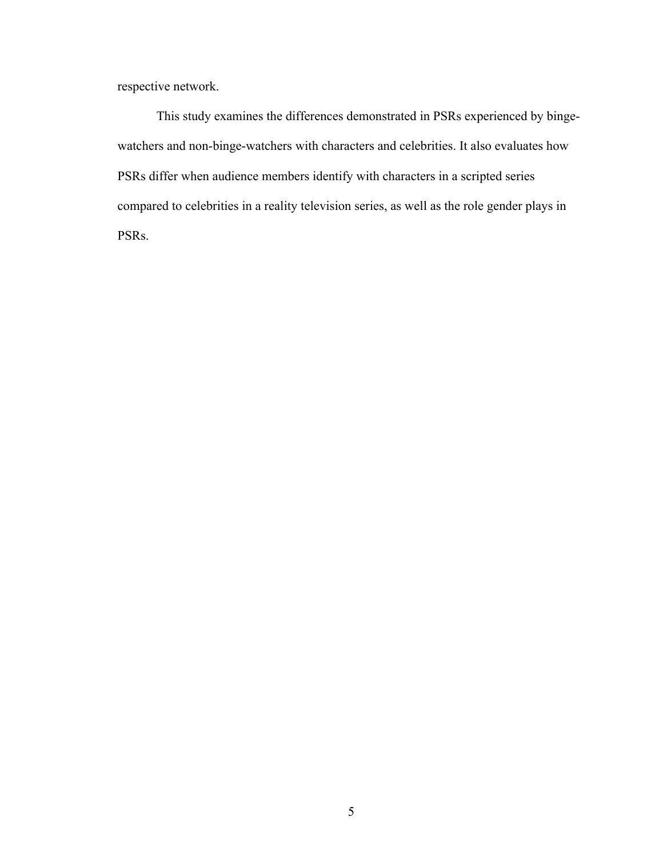respective network.

This study examines the differences demonstrated in PSRs experienced by bingewatchers and non-binge-watchers with characters and celebrities. It also evaluates how PSRs differ when audience members identify with characters in a scripted series compared to celebrities in a reality television series, as well as the role gender plays in PSRs.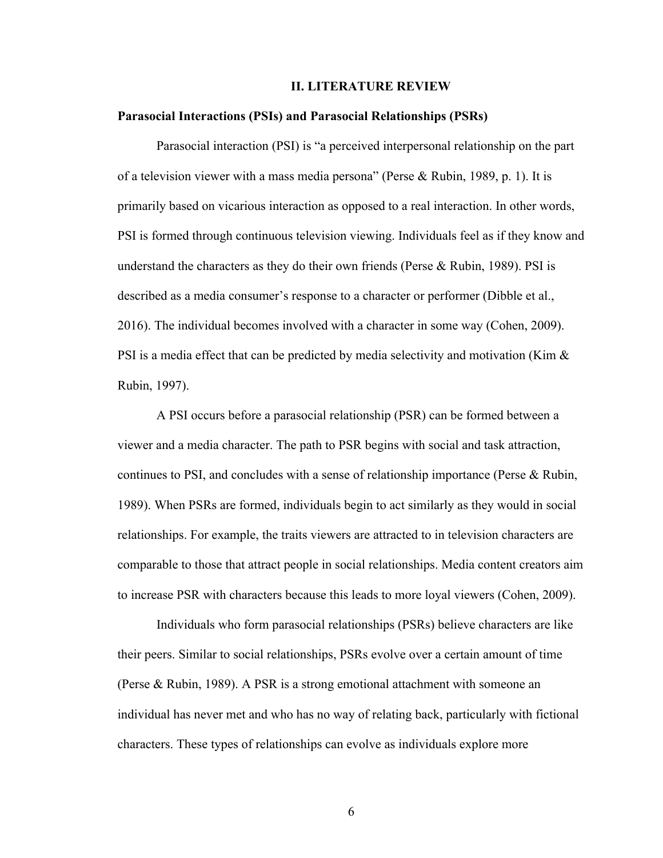#### **II. LITERATURE REVIEW**

#### **Parasocial Interactions (PSIs) and Parasocial Relationships (PSRs)**

Parasocial interaction (PSI) is "a perceived interpersonal relationship on the part of a television viewer with a mass media persona" (Perse & Rubin, 1989, p. 1). It is primarily based on vicarious interaction as opposed to a real interaction. In other words, PSI is formed through continuous television viewing. Individuals feel as if they know and understand the characters as they do their own friends (Perse  $\&$  Rubin, 1989). PSI is described as a media consumer's response to a character or performer (Dibble et al., 2016). The individual becomes involved with a character in some way (Cohen, 2009). PSI is a media effect that can be predicted by media selectivity and motivation (Kim & Rubin, 1997).

A PSI occurs before a parasocial relationship (PSR) can be formed between a viewer and a media character. The path to PSR begins with social and task attraction, continues to PSI, and concludes with a sense of relationship importance (Perse & Rubin, 1989). When PSRs are formed, individuals begin to act similarly as they would in social relationships. For example, the traits viewers are attracted to in television characters are comparable to those that attract people in social relationships. Media content creators aim to increase PSR with characters because this leads to more loyal viewers (Cohen, 2009).

Individuals who form parasocial relationships (PSRs) believe characters are like their peers. Similar to social relationships, PSRs evolve over a certain amount of time (Perse & Rubin, 1989). A PSR is a strong emotional attachment with someone an individual has never met and who has no way of relating back, particularly with fictional characters. These types of relationships can evolve as individuals explore more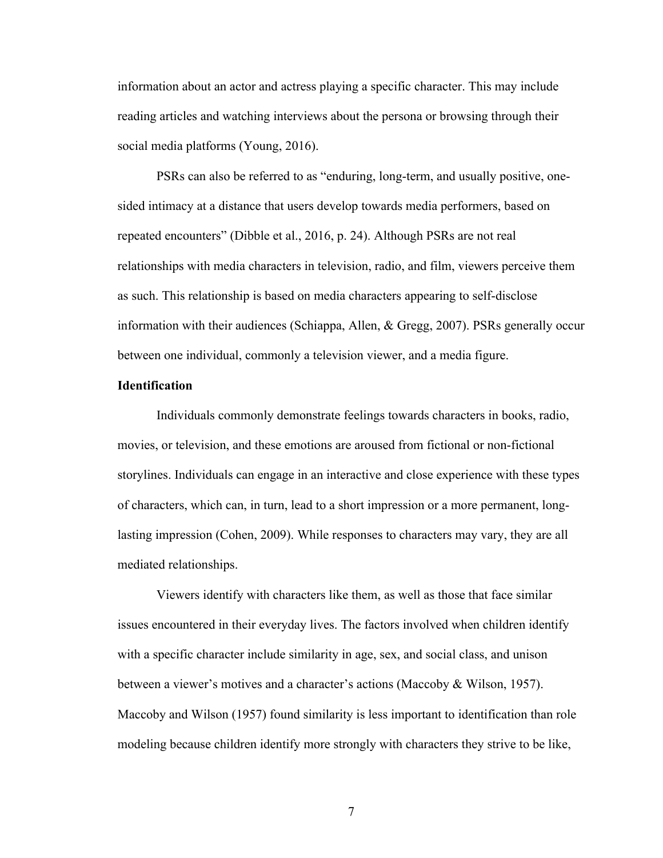information about an actor and actress playing a specific character. This may include reading articles and watching interviews about the persona or browsing through their social media platforms (Young, 2016).

PSRs can also be referred to as "enduring, long-term, and usually positive, onesided intimacy at a distance that users develop towards media performers, based on repeated encounters" (Dibble et al., 2016, p. 24). Although PSRs are not real relationships with media characters in television, radio, and film, viewers perceive them as such. This relationship is based on media characters appearing to self-disclose information with their audiences (Schiappa, Allen, & Gregg, 2007). PSRs generally occur between one individual, commonly a television viewer, and a media figure.

## **Identification**

Individuals commonly demonstrate feelings towards characters in books, radio, movies, or television, and these emotions are aroused from fictional or non-fictional storylines. Individuals can engage in an interactive and close experience with these types of characters, which can, in turn, lead to a short impression or a more permanent, longlasting impression (Cohen, 2009). While responses to characters may vary, they are all mediated relationships.

Viewers identify with characters like them, as well as those that face similar issues encountered in their everyday lives. The factors involved when children identify with a specific character include similarity in age, sex, and social class, and unison between a viewer's motives and a character's actions (Maccoby & Wilson, 1957). Maccoby and Wilson (1957) found similarity is less important to identification than role modeling because children identify more strongly with characters they strive to be like,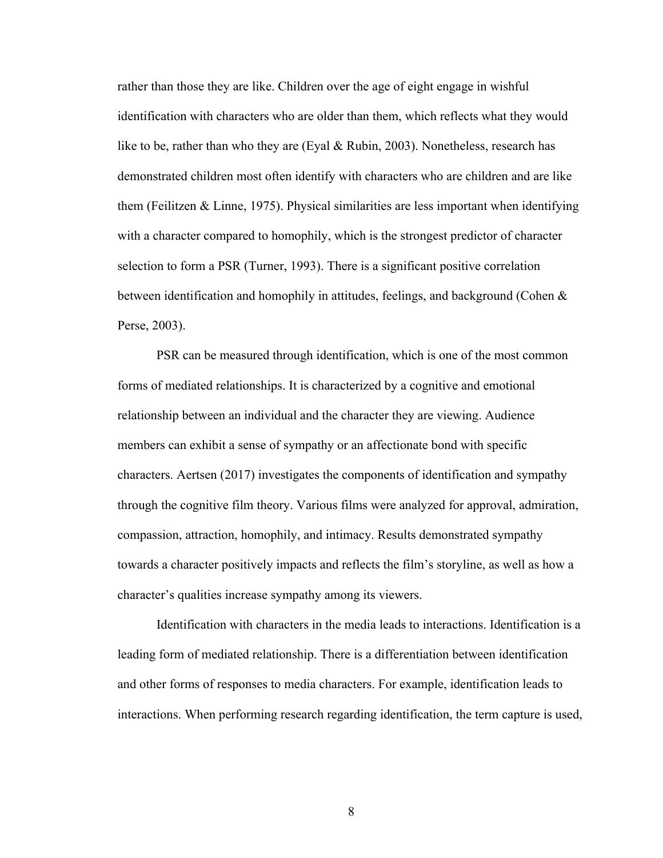rather than those they are like. Children over the age of eight engage in wishful identification with characters who are older than them, which reflects what they would like to be, rather than who they are (Eyal  $\&$  Rubin, 2003). Nonetheless, research has demonstrated children most often identify with characters who are children and are like them (Feilitzen  $&$  Linne, 1975). Physical similarities are less important when identifying with a character compared to homophily, which is the strongest predictor of character selection to form a PSR (Turner, 1993). There is a significant positive correlation between identification and homophily in attitudes, feelings, and background (Cohen & Perse, 2003).

PSR can be measured through identification, which is one of the most common forms of mediated relationships. It is characterized by a cognitive and emotional relationship between an individual and the character they are viewing. Audience members can exhibit a sense of sympathy or an affectionate bond with specific characters. Aertsen (2017) investigates the components of identification and sympathy through the cognitive film theory. Various films were analyzed for approval, admiration, compassion, attraction, homophily, and intimacy. Results demonstrated sympathy towards a character positively impacts and reflects the film's storyline, as well as how a character's qualities increase sympathy among its viewers.

Identification with characters in the media leads to interactions. Identification is a leading form of mediated relationship. There is a differentiation between identification and other forms of responses to media characters. For example, identification leads to interactions. When performing research regarding identification, the term capture is used,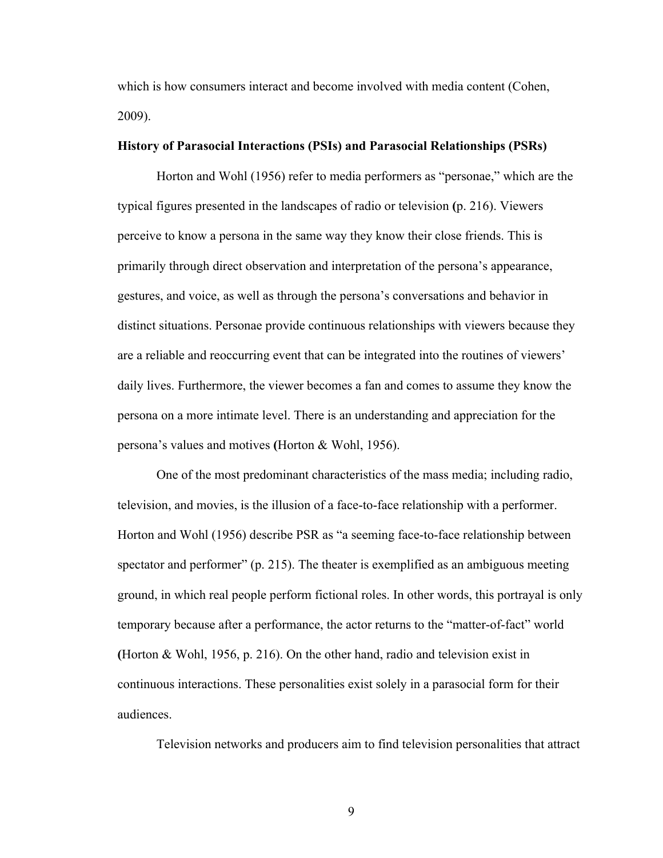which is how consumers interact and become involved with media content (Cohen, 2009).

#### **History of Parasocial Interactions (PSIs) and Parasocial Relationships (PSRs)**

Horton and Wohl (1956) refer to media performers as "personae," which are the typical figures presented in the landscapes of radio or television **(**p. 216). Viewers perceive to know a persona in the same way they know their close friends. This is primarily through direct observation and interpretation of the persona's appearance, gestures, and voice, as well as through the persona's conversations and behavior in distinct situations. Personae provide continuous relationships with viewers because they are a reliable and reoccurring event that can be integrated into the routines of viewers' daily lives. Furthermore, the viewer becomes a fan and comes to assume they know the persona on a more intimate level. There is an understanding and appreciation for the persona's values and motives **(**Horton & Wohl, 1956).

One of the most predominant characteristics of the mass media; including radio, television, and movies, is the illusion of a face-to-face relationship with a performer. Horton and Wohl (1956) describe PSR as "a seeming face-to-face relationship between spectator and performer" (p. 215). The theater is exemplified as an ambiguous meeting ground, in which real people perform fictional roles. In other words, this portrayal is only temporary because after a performance, the actor returns to the "matter-of-fact" world **(**Horton & Wohl, 1956, p. 216). On the other hand, radio and television exist in continuous interactions. These personalities exist solely in a parasocial form for their audiences.

Television networks and producers aim to find television personalities that attract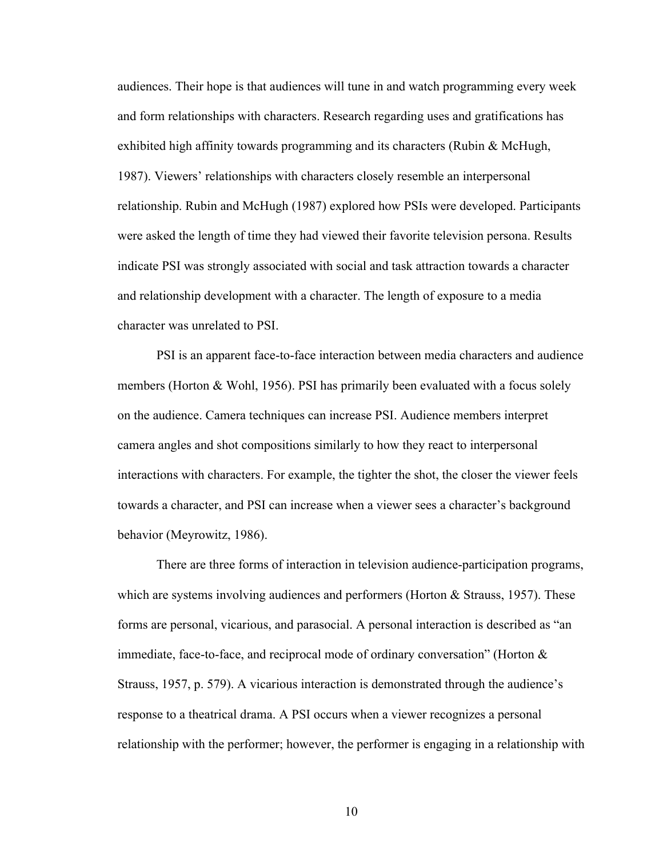audiences. Their hope is that audiences will tune in and watch programming every week and form relationships with characters. Research regarding uses and gratifications has exhibited high affinity towards programming and its characters (Rubin & McHugh, 1987). Viewers' relationships with characters closely resemble an interpersonal relationship. Rubin and McHugh (1987) explored how PSIs were developed. Participants were asked the length of time they had viewed their favorite television persona. Results indicate PSI was strongly associated with social and task attraction towards a character and relationship development with a character. The length of exposure to a media character was unrelated to PSI.

PSI is an apparent face-to-face interaction between media characters and audience members (Horton & Wohl, 1956). PSI has primarily been evaluated with a focus solely on the audience. Camera techniques can increase PSI. Audience members interpret camera angles and shot compositions similarly to how they react to interpersonal interactions with characters. For example, the tighter the shot, the closer the viewer feels towards a character, and PSI can increase when a viewer sees a character's background behavior (Meyrowitz, 1986).

There are three forms of interaction in television audience-participation programs, which are systems involving audiences and performers (Horton & Strauss, 1957). These forms are personal, vicarious, and parasocial. A personal interaction is described as "an immediate, face-to-face, and reciprocal mode of ordinary conversation" (Horton  $\&$ Strauss, 1957, p. 579). A vicarious interaction is demonstrated through the audience's response to a theatrical drama. A PSI occurs when a viewer recognizes a personal relationship with the performer; however, the performer is engaging in a relationship with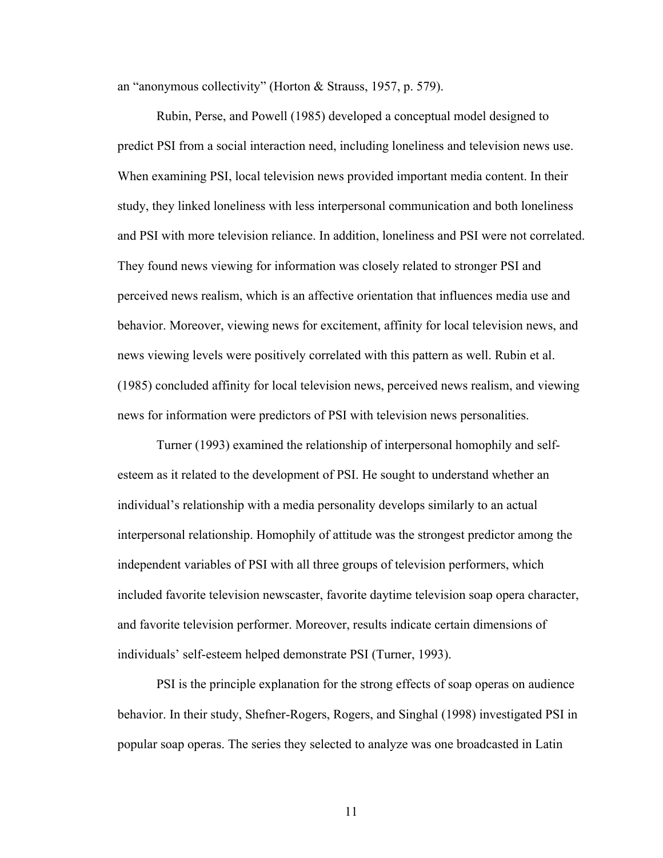an "anonymous collectivity" (Horton & Strauss, 1957, p. 579).

Rubin, Perse, and Powell (1985) developed a conceptual model designed to predict PSI from a social interaction need, including loneliness and television news use. When examining PSI, local television news provided important media content. In their study, they linked loneliness with less interpersonal communication and both loneliness and PSI with more television reliance. In addition, loneliness and PSI were not correlated. They found news viewing for information was closely related to stronger PSI and perceived news realism, which is an affective orientation that influences media use and behavior. Moreover, viewing news for excitement, affinity for local television news, and news viewing levels were positively correlated with this pattern as well. Rubin et al. (1985) concluded affinity for local television news, perceived news realism, and viewing news for information were predictors of PSI with television news personalities.

Turner (1993) examined the relationship of interpersonal homophily and selfesteem as it related to the development of PSI. He sought to understand whether an individual's relationship with a media personality develops similarly to an actual interpersonal relationship. Homophily of attitude was the strongest predictor among the independent variables of PSI with all three groups of television performers, which included favorite television newscaster, favorite daytime television soap opera character, and favorite television performer. Moreover, results indicate certain dimensions of individuals' self-esteem helped demonstrate PSI (Turner, 1993).

PSI is the principle explanation for the strong effects of soap operas on audience behavior. In their study, Shefner-Rogers, Rogers, and Singhal (1998) investigated PSI in popular soap operas. The series they selected to analyze was one broadcasted in Latin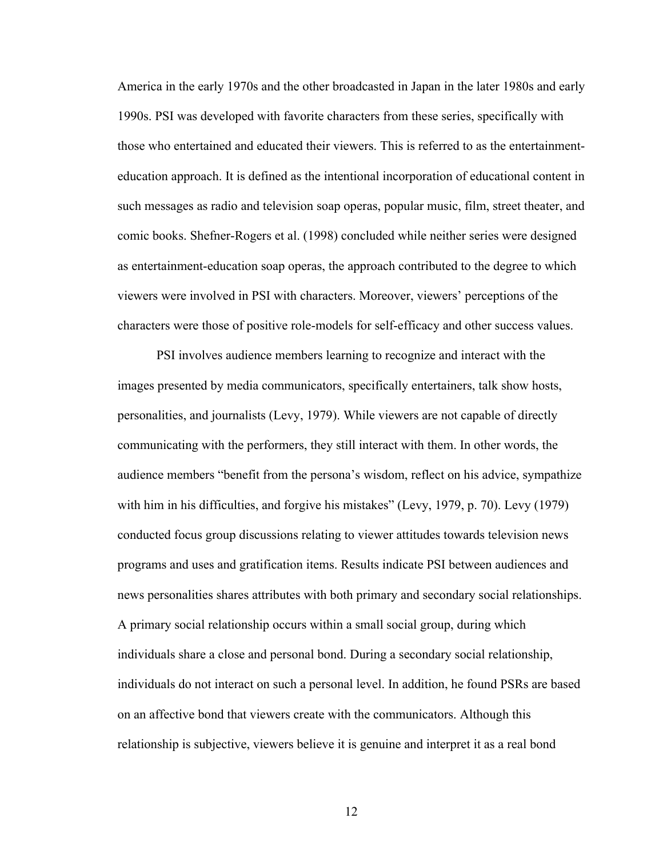America in the early 1970s and the other broadcasted in Japan in the later 1980s and early 1990s. PSI was developed with favorite characters from these series, specifically with those who entertained and educated their viewers. This is referred to as the entertainmenteducation approach. It is defined as the intentional incorporation of educational content in such messages as radio and television soap operas, popular music, film, street theater, and comic books. Shefner-Rogers et al. (1998) concluded while neither series were designed as entertainment-education soap operas, the approach contributed to the degree to which viewers were involved in PSI with characters. Moreover, viewers' perceptions of the characters were those of positive role-models for self-efficacy and other success values.

PSI involves audience members learning to recognize and interact with the images presented by media communicators, specifically entertainers, talk show hosts, personalities, and journalists (Levy, 1979). While viewers are not capable of directly communicating with the performers, they still interact with them. In other words, the audience members "benefit from the persona's wisdom, reflect on his advice, sympathize with him in his difficulties, and forgive his mistakes" (Levy, 1979, p. 70). Levy (1979) conducted focus group discussions relating to viewer attitudes towards television news programs and uses and gratification items. Results indicate PSI between audiences and news personalities shares attributes with both primary and secondary social relationships. A primary social relationship occurs within a small social group, during which individuals share a close and personal bond. During a secondary social relationship, individuals do not interact on such a personal level. In addition, he found PSRs are based on an affective bond that viewers create with the communicators. Although this relationship is subjective, viewers believe it is genuine and interpret it as a real bond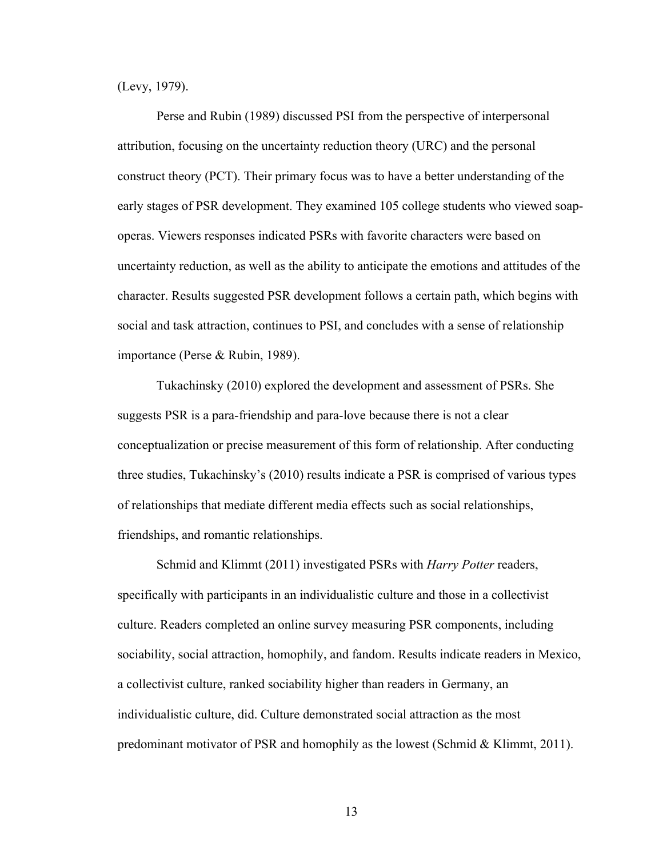(Levy, 1979).

Perse and Rubin (1989) discussed PSI from the perspective of interpersonal attribution, focusing on the uncertainty reduction theory (URC) and the personal construct theory (PCT). Their primary focus was to have a better understanding of the early stages of PSR development. They examined 105 college students who viewed soapoperas. Viewers responses indicated PSRs with favorite characters were based on uncertainty reduction, as well as the ability to anticipate the emotions and attitudes of the character. Results suggested PSR development follows a certain path, which begins with social and task attraction, continues to PSI, and concludes with a sense of relationship importance (Perse & Rubin, 1989).

Tukachinsky (2010) explored the development and assessment of PSRs. She suggests PSR is a para-friendship and para-love because there is not a clear conceptualization or precise measurement of this form of relationship. After conducting three studies, Tukachinsky's (2010) results indicate a PSR is comprised of various types of relationships that mediate different media effects such as social relationships, friendships, and romantic relationships.

Schmid and Klimmt (2011) investigated PSRs with *Harry Potter* readers, specifically with participants in an individualistic culture and those in a collectivist culture. Readers completed an online survey measuring PSR components, including sociability, social attraction, homophily, and fandom. Results indicate readers in Mexico, a collectivist culture, ranked sociability higher than readers in Germany, an individualistic culture, did. Culture demonstrated social attraction as the most predominant motivator of PSR and homophily as the lowest (Schmid & Klimmt, 2011).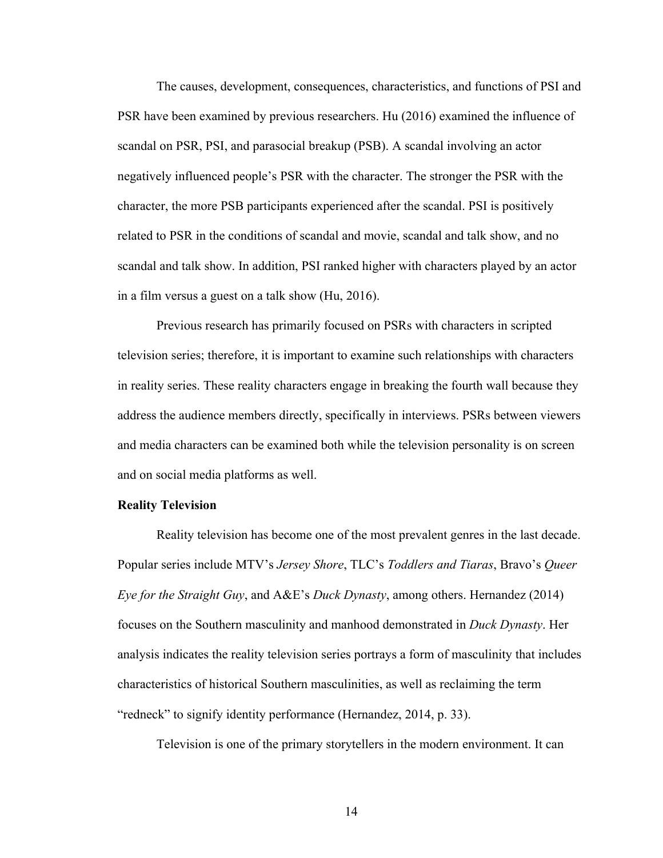The causes, development, consequences, characteristics, and functions of PSI and PSR have been examined by previous researchers. Hu (2016) examined the influence of scandal on PSR, PSI, and parasocial breakup (PSB). A scandal involving an actor negatively influenced people's PSR with the character. The stronger the PSR with the character, the more PSB participants experienced after the scandal. PSI is positively related to PSR in the conditions of scandal and movie, scandal and talk show, and no scandal and talk show. In addition, PSI ranked higher with characters played by an actor in a film versus a guest on a talk show (Hu, 2016).

Previous research has primarily focused on PSRs with characters in scripted television series; therefore, it is important to examine such relationships with characters in reality series. These reality characters engage in breaking the fourth wall because they address the audience members directly, specifically in interviews. PSRs between viewers and media characters can be examined both while the television personality is on screen and on social media platforms as well.

## **Reality Television**

Reality television has become one of the most prevalent genres in the last decade. Popular series include MTV's *Jersey Shore*, TLC's *Toddlers and Tiaras*, Bravo's *Queer Eye for the Straight Guy*, and A&E's *Duck Dynasty*, among others. Hernandez (2014) focuses on the Southern masculinity and manhood demonstrated in *Duck Dynasty*. Her analysis indicates the reality television series portrays a form of masculinity that includes characteristics of historical Southern masculinities, as well as reclaiming the term "redneck" to signify identity performance (Hernandez, 2014, p. 33).

Television is one of the primary storytellers in the modern environment. It can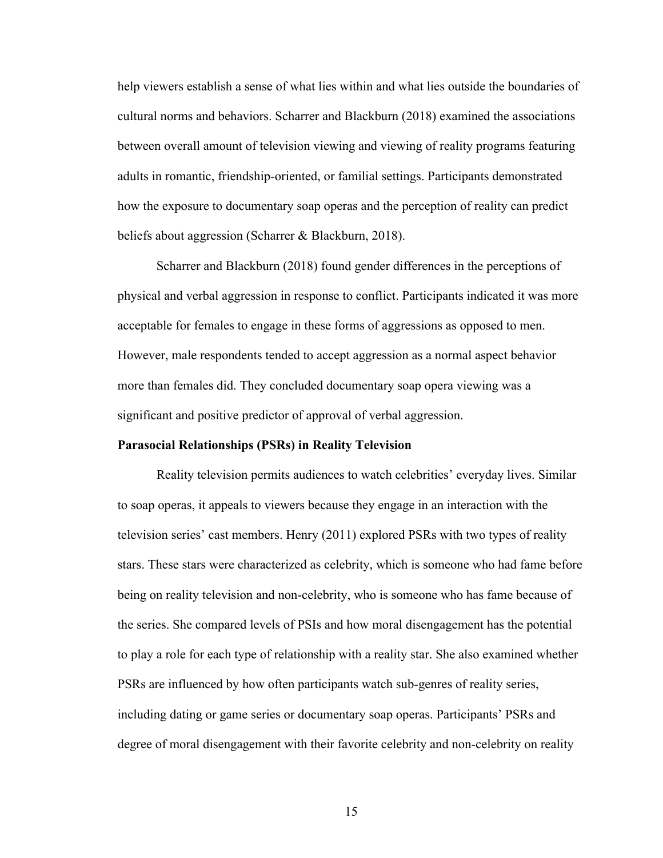help viewers establish a sense of what lies within and what lies outside the boundaries of cultural norms and behaviors. Scharrer and Blackburn (2018) examined the associations between overall amount of television viewing and viewing of reality programs featuring adults in romantic, friendship-oriented, or familial settings. Participants demonstrated how the exposure to documentary soap operas and the perception of reality can predict beliefs about aggression (Scharrer & Blackburn, 2018).

Scharrer and Blackburn (2018) found gender differences in the perceptions of physical and verbal aggression in response to conflict. Participants indicated it was more acceptable for females to engage in these forms of aggressions as opposed to men. However, male respondents tended to accept aggression as a normal aspect behavior more than females did. They concluded documentary soap opera viewing was a significant and positive predictor of approval of verbal aggression.

### **Parasocial Relationships (PSRs) in Reality Television**

Reality television permits audiences to watch celebrities' everyday lives. Similar to soap operas, it appeals to viewers because they engage in an interaction with the television series' cast members. Henry (2011) explored PSRs with two types of reality stars. These stars were characterized as celebrity, which is someone who had fame before being on reality television and non-celebrity, who is someone who has fame because of the series. She compared levels of PSIs and how moral disengagement has the potential to play a role for each type of relationship with a reality star. She also examined whether PSRs are influenced by how often participants watch sub-genres of reality series, including dating or game series or documentary soap operas. Participants' PSRs and degree of moral disengagement with their favorite celebrity and non-celebrity on reality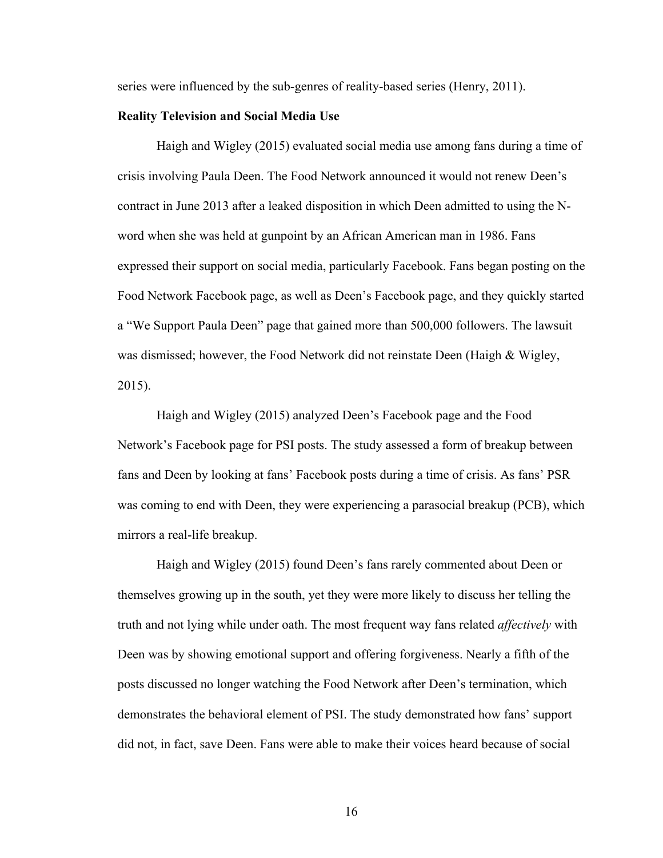series were influenced by the sub-genres of reality-based series (Henry, 2011).

#### **Reality Television and Social Media Use**

Haigh and Wigley (2015) evaluated social media use among fans during a time of crisis involving Paula Deen. The Food Network announced it would not renew Deen's contract in June 2013 after a leaked disposition in which Deen admitted to using the Nword when she was held at gunpoint by an African American man in 1986. Fans expressed their support on social media, particularly Facebook. Fans began posting on the Food Network Facebook page, as well as Deen's Facebook page, and they quickly started a "We Support Paula Deen" page that gained more than 500,000 followers. The lawsuit was dismissed; however, the Food Network did not reinstate Deen (Haigh & Wigley, 2015).

Haigh and Wigley (2015) analyzed Deen's Facebook page and the Food Network's Facebook page for PSI posts. The study assessed a form of breakup between fans and Deen by looking at fans' Facebook posts during a time of crisis. As fans' PSR was coming to end with Deen, they were experiencing a parasocial breakup (PCB), which mirrors a real-life breakup.

Haigh and Wigley (2015) found Deen's fans rarely commented about Deen or themselves growing up in the south, yet they were more likely to discuss her telling the truth and not lying while under oath. The most frequent way fans related *affectively* with Deen was by showing emotional support and offering forgiveness. Nearly a fifth of the posts discussed no longer watching the Food Network after Deen's termination, which demonstrates the behavioral element of PSI. The study demonstrated how fans' support did not, in fact, save Deen. Fans were able to make their voices heard because of social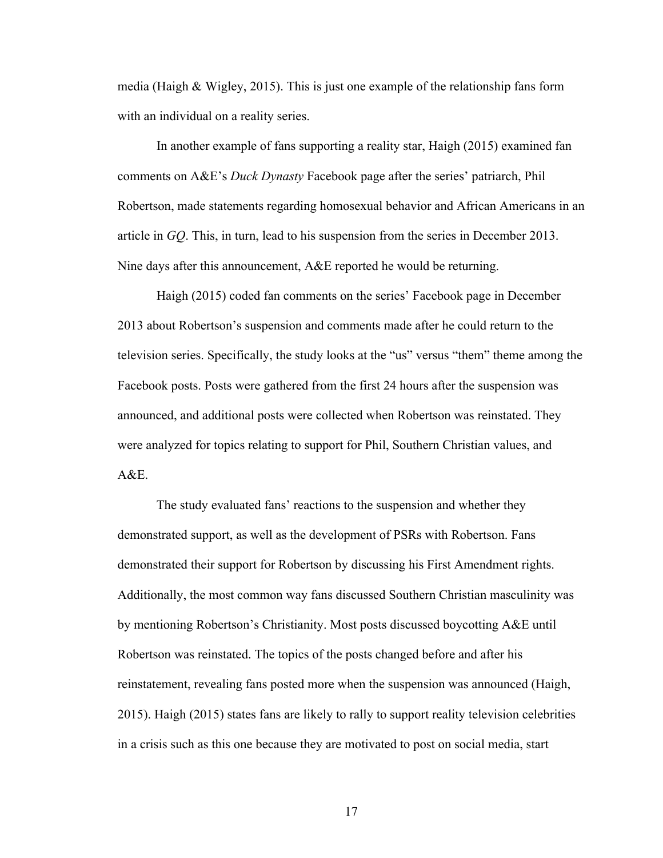media (Haigh & Wigley, 2015). This is just one example of the relationship fans form with an individual on a reality series.

In another example of fans supporting a reality star, Haigh (2015) examined fan comments on A&E's *Duck Dynasty* Facebook page after the series' patriarch, Phil Robertson, made statements regarding homosexual behavior and African Americans in an article in *GQ*. This, in turn, lead to his suspension from the series in December 2013. Nine days after this announcement, A&E reported he would be returning.

Haigh (2015) coded fan comments on the series' Facebook page in December 2013 about Robertson's suspension and comments made after he could return to the television series. Specifically, the study looks at the "us" versus "them" theme among the Facebook posts. Posts were gathered from the first 24 hours after the suspension was announced, and additional posts were collected when Robertson was reinstated. They were analyzed for topics relating to support for Phil, Southern Christian values, and  $A&E$ .

The study evaluated fans' reactions to the suspension and whether they demonstrated support, as well as the development of PSRs with Robertson. Fans demonstrated their support for Robertson by discussing his First Amendment rights. Additionally, the most common way fans discussed Southern Christian masculinity was by mentioning Robertson's Christianity. Most posts discussed boycotting A&E until Robertson was reinstated. The topics of the posts changed before and after his reinstatement, revealing fans posted more when the suspension was announced (Haigh, 2015). Haigh (2015) states fans are likely to rally to support reality television celebrities in a crisis such as this one because they are motivated to post on social media, start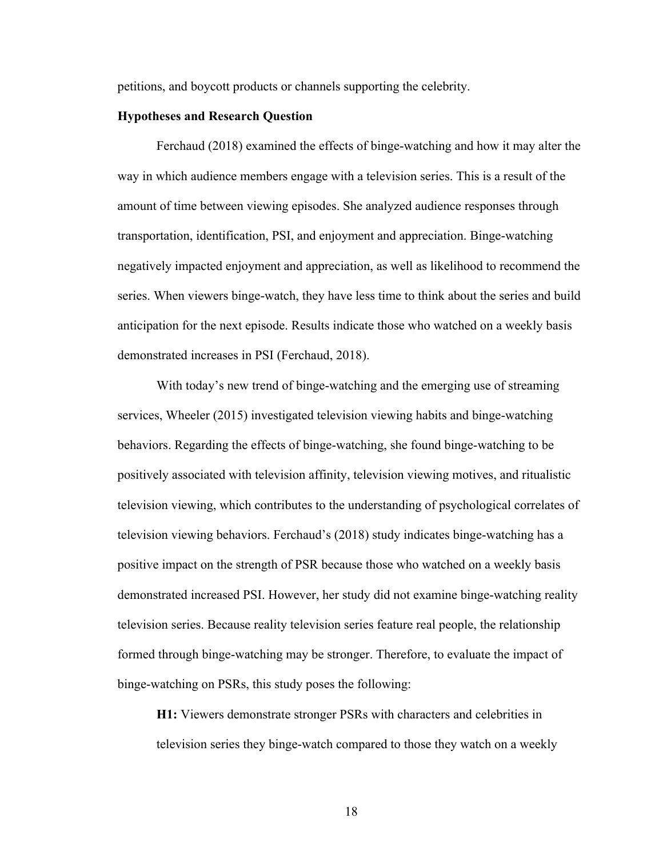petitions, and boycott products or channels supporting the celebrity.

## **Hypotheses and Research Question**

Ferchaud (2018) examined the effects of binge-watching and how it may alter the way in which audience members engage with a television series. This is a result of the amount of time between viewing episodes. She analyzed audience responses through transportation, identification, PSI, and enjoyment and appreciation. Binge-watching negatively impacted enjoyment and appreciation, as well as likelihood to recommend the series. When viewers binge-watch, they have less time to think about the series and build anticipation for the next episode. Results indicate those who watched on a weekly basis demonstrated increases in PSI (Ferchaud, 2018).

With today's new trend of binge-watching and the emerging use of streaming services, Wheeler (2015) investigated television viewing habits and binge-watching behaviors. Regarding the effects of binge-watching, she found binge-watching to be positively associated with television affinity, television viewing motives, and ritualistic television viewing, which contributes to the understanding of psychological correlates of television viewing behaviors. Ferchaud's (2018) study indicates binge-watching has a positive impact on the strength of PSR because those who watched on a weekly basis demonstrated increased PSI. However, her study did not examine binge-watching reality television series. Because reality television series feature real people, the relationship formed through binge-watching may be stronger. Therefore, to evaluate the impact of binge-watching on PSRs, this study poses the following:

**H1:** Viewers demonstrate stronger PSRs with characters and celebrities in television series they binge-watch compared to those they watch on a weekly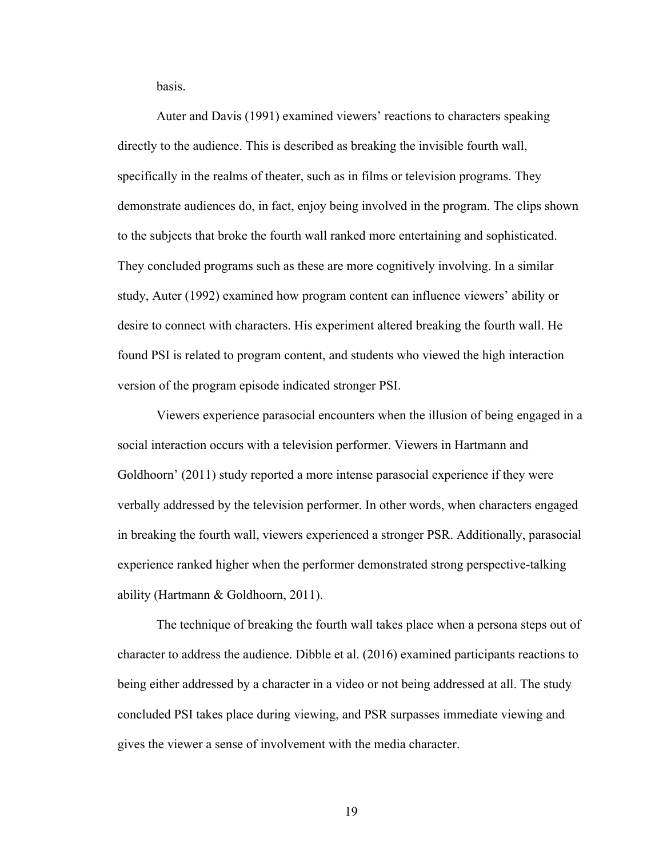basis.

Auter and Davis (1991) examined viewers' reactions to characters speaking directly to the audience. This is described as breaking the invisible fourth wall, specifically in the realms of theater, such as in films or television programs. They demonstrate audiences do, in fact, enjoy being involved in the program. The clips shown to the subjects that broke the fourth wall ranked more entertaining and sophisticated. They concluded programs such as these are more cognitively involving. In a similar study, Auter (1992) examined how program content can influence viewers' ability or desire to connect with characters. His experiment altered breaking the fourth wall. He found PSI is related to program content, and students who viewed the high interaction version of the program episode indicated stronger PSI.

Viewers experience parasocial encounters when the illusion of being engaged in a social interaction occurs with a television performer. Viewers in Hartmann and Goldhoorn' (2011) study reported a more intense parasocial experience if they were verbally addressed by the television performer. In other words, when characters engaged in breaking the fourth wall, viewers experienced a stronger PSR. Additionally, parasocial experience ranked higher when the performer demonstrated strong perspective-talking ability (Hartmann & Goldhoorn, 2011).

The technique of breaking the fourth wall takes place when a persona steps out of character to address the audience. Dibble et al. (2016) examined participants reactions to being either addressed by a character in a video or not being addressed at all. The study concluded PSI takes place during viewing, and PSR surpasses immediate viewing and gives the viewer a sense of involvement with the media character.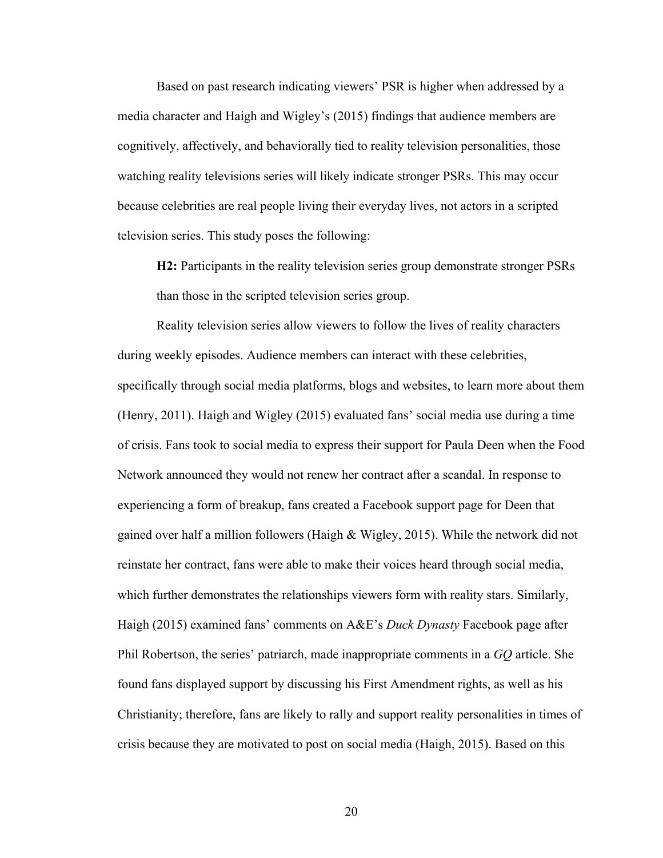Based on past research indicating viewers' PSR is higher when addressed by a media character and Haigh and Wigley's (2015) findings that audience members are cognitively, affectively, and behaviorally tied to reality television personalities, those watching reality televisions series will likely indicate stronger PSRs. This may occur because celebrities are real people living their everyday lives, not actors in a scripted television series. This study poses the following:

**H2:** Participants in the reality television series group demonstrate stronger PSRs than those in the scripted television series group.

Reality television series allow viewers to follow the lives of reality characters during weekly episodes. Audience members can interact with these celebrities, specifically through social media platforms, blogs and websites, to learn more about them (Henry, 2011). Haigh and Wigley (2015) evaluated fans' social media use during a time of crisis. Fans took to social media to express their support for Paula Deen when the Food Network announced they would not renew her contract after a scandal. In response to experiencing a form of breakup, fans created a Facebook support page for Deen that gained over half a million followers (Haigh  $\&$  Wigley, 2015). While the network did not reinstate her contract, fans were able to make their voices heard through social media, which further demonstrates the relationships viewers form with reality stars. Similarly, Haigh (2015) examined fans' comments on A&E's *Duck Dynasty* Facebook page after Phil Robertson, the series' patriarch, made inappropriate comments in a *GQ* article. She found fans displayed support by discussing his First Amendment rights, as well as his Christianity; therefore, fans are likely to rally and support reality personalities in times of crisis because they are motivated to post on social media (Haigh, 2015). Based on this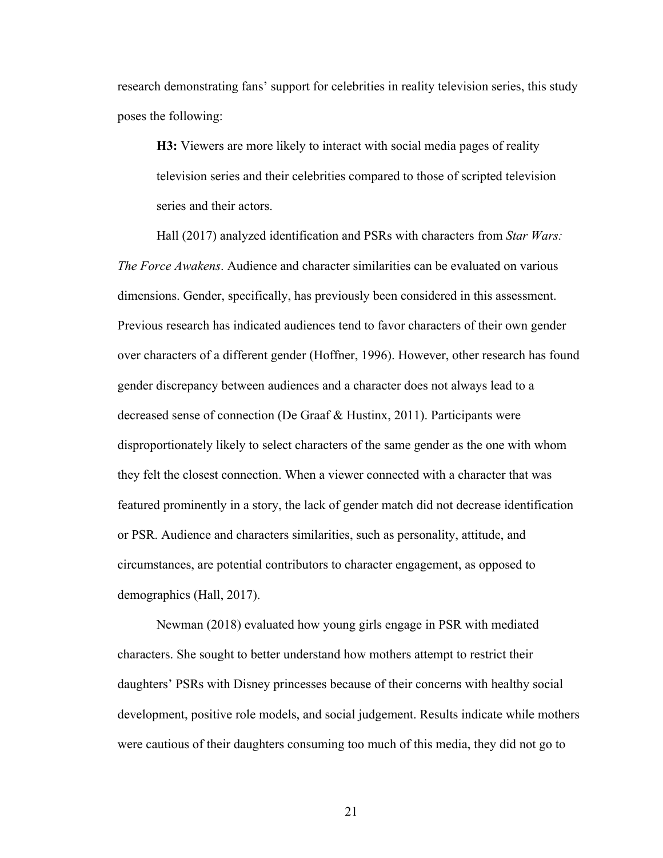research demonstrating fans' support for celebrities in reality television series, this study poses the following:

**H3:** Viewers are more likely to interact with social media pages of reality television series and their celebrities compared to those of scripted television series and their actors.

Hall (2017) analyzed identification and PSRs with characters from *Star Wars: The Force Awakens*. Audience and character similarities can be evaluated on various dimensions. Gender, specifically, has previously been considered in this assessment. Previous research has indicated audiences tend to favor characters of their own gender over characters of a different gender (Hoffner, 1996). However, other research has found gender discrepancy between audiences and a character does not always lead to a decreased sense of connection (De Graaf & Hustinx, 2011). Participants were disproportionately likely to select characters of the same gender as the one with whom they felt the closest connection. When a viewer connected with a character that was featured prominently in a story, the lack of gender match did not decrease identification or PSR. Audience and characters similarities, such as personality, attitude, and circumstances, are potential contributors to character engagement, as opposed to demographics (Hall, 2017).

Newman (2018) evaluated how young girls engage in PSR with mediated characters. She sought to better understand how mothers attempt to restrict their daughters' PSRs with Disney princesses because of their concerns with healthy social development, positive role models, and social judgement. Results indicate while mothers were cautious of their daughters consuming too much of this media, they did not go to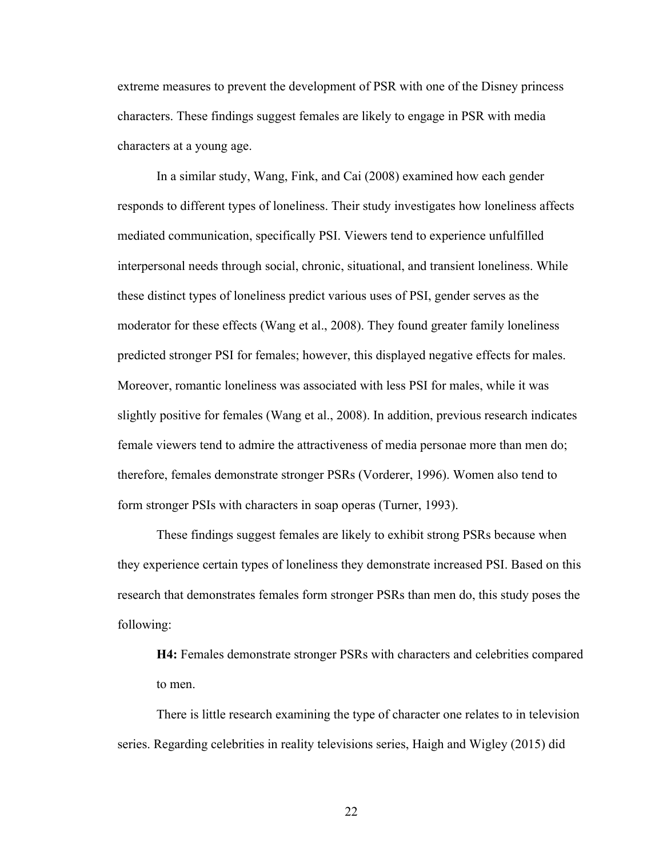extreme measures to prevent the development of PSR with one of the Disney princess characters. These findings suggest females are likely to engage in PSR with media characters at a young age.

In a similar study, Wang, Fink, and Cai (2008) examined how each gender responds to different types of loneliness. Their study investigates how loneliness affects mediated communication, specifically PSI. Viewers tend to experience unfulfilled interpersonal needs through social, chronic, situational, and transient loneliness. While these distinct types of loneliness predict various uses of PSI, gender serves as the moderator for these effects (Wang et al., 2008). They found greater family loneliness predicted stronger PSI for females; however, this displayed negative effects for males. Moreover, romantic loneliness was associated with less PSI for males, while it was slightly positive for females (Wang et al., 2008). In addition, previous research indicates female viewers tend to admire the attractiveness of media personae more than men do; therefore, females demonstrate stronger PSRs (Vorderer, 1996). Women also tend to form stronger PSIs with characters in soap operas (Turner, 1993).

These findings suggest females are likely to exhibit strong PSRs because when they experience certain types of loneliness they demonstrate increased PSI. Based on this research that demonstrates females form stronger PSRs than men do, this study poses the following:

**H4:** Females demonstrate stronger PSRs with characters and celebrities compared to men.

There is little research examining the type of character one relates to in television series. Regarding celebrities in reality televisions series, Haigh and Wigley (2015) did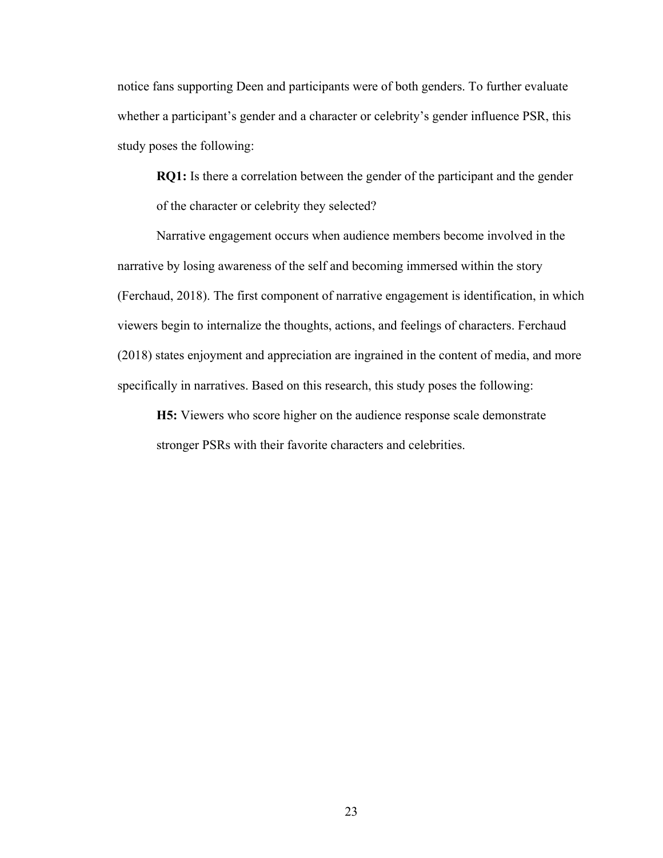notice fans supporting Deen and participants were of both genders. To further evaluate whether a participant's gender and a character or celebrity's gender influence PSR, this study poses the following:

**RQ1:** Is there a correlation between the gender of the participant and the gender of the character or celebrity they selected?

Narrative engagement occurs when audience members become involved in the narrative by losing awareness of the self and becoming immersed within the story (Ferchaud, 2018). The first component of narrative engagement is identification, in which viewers begin to internalize the thoughts, actions, and feelings of characters. Ferchaud (2018) states enjoyment and appreciation are ingrained in the content of media, and more specifically in narratives. Based on this research, this study poses the following:

**H5:** Viewers who score higher on the audience response scale demonstrate stronger PSRs with their favorite characters and celebrities.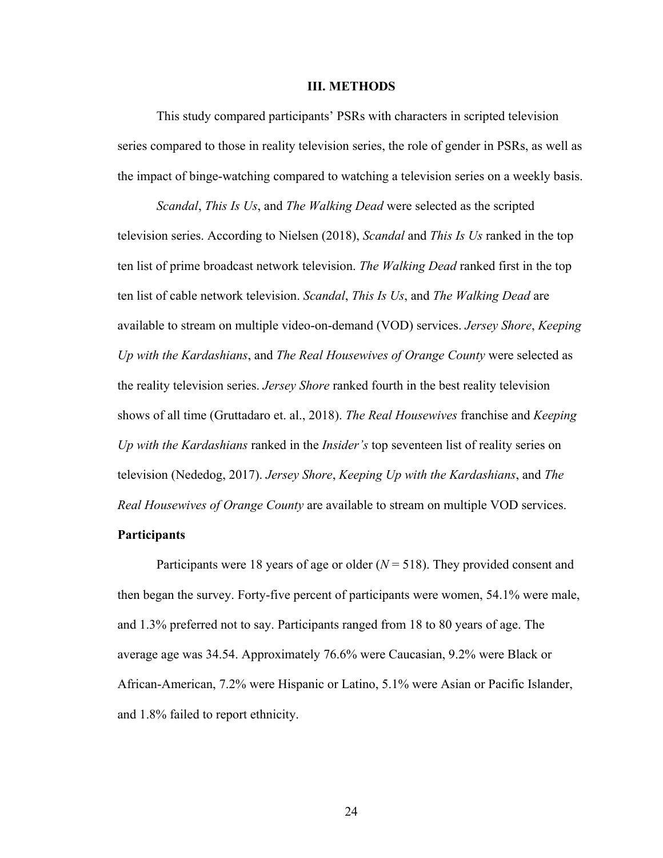#### **III. METHODS**

This study compared participants' PSRs with characters in scripted television series compared to those in reality television series, the role of gender in PSRs, as well as the impact of binge-watching compared to watching a television series on a weekly basis.

*Scandal*, *This Is Us*, and *The Walking Dead* were selected as the scripted television series. According to Nielsen (2018), *Scandal* and *This Is Us* ranked in the top ten list of prime broadcast network television. *The Walking Dead* ranked first in the top ten list of cable network television. *Scandal*, *This Is Us*, and *The Walking Dead* are available to stream on multiple video-on-demand (VOD) services. *Jersey Shore*, *Keeping Up with the Kardashians*, and *The Real Housewives of Orange County* were selected as the reality television series. *Jersey Shore* ranked fourth in the best reality television shows of all time (Gruttadaro et. al., 2018). *The Real Housewives* franchise and *Keeping Up with the Kardashians* ranked in the *Insider's* top seventeen list of reality series on television (Nededog, 2017). *Jersey Shore*, *Keeping Up with the Kardashians*, and *The Real Housewives of Orange County* are available to stream on multiple VOD services.

#### **Participants**

Participants were 18 years of age or older (*N* = 518). They provided consent and then began the survey. Forty-five percent of participants were women, 54.1% were male, and 1.3% preferred not to say. Participants ranged from 18 to 80 years of age. The average age was 34.54. Approximately 76.6% were Caucasian, 9.2% were Black or African-American, 7.2% were Hispanic or Latino, 5.1% were Asian or Pacific Islander, and 1.8% failed to report ethnicity.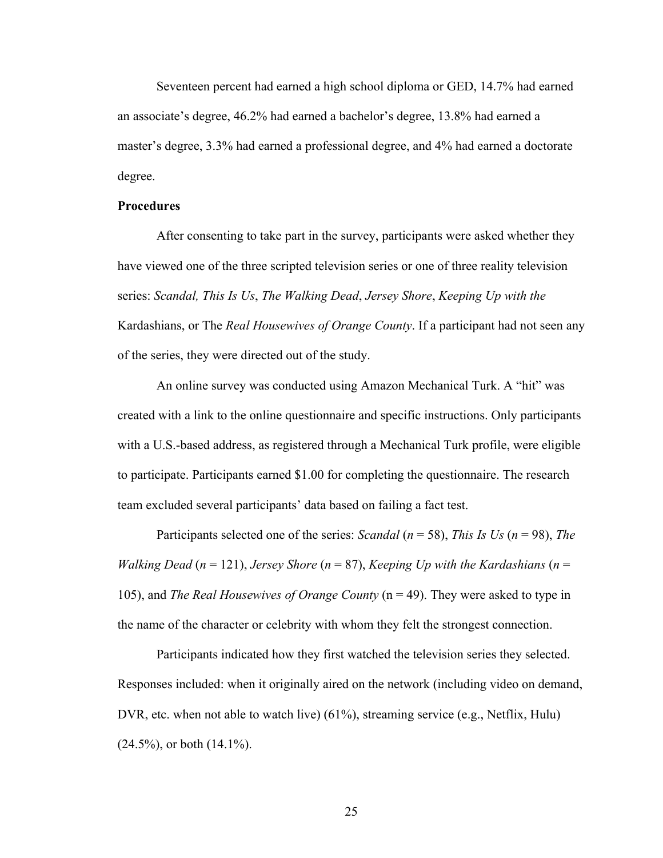Seventeen percent had earned a high school diploma or GED, 14.7% had earned an associate's degree, 46.2% had earned a bachelor's degree, 13.8% had earned a master's degree, 3.3% had earned a professional degree, and 4% had earned a doctorate degree.

#### **Procedures**

After consenting to take part in the survey, participants were asked whether they have viewed one of the three scripted television series or one of three reality television series: *Scandal, This Is Us*, *The Walking Dead*, *Jersey Shore*, *Keeping Up with the*  Kardashians, or The *Real Housewives of Orange County*. If a participant had not seen any of the series, they were directed out of the study.

An online survey was conducted using Amazon Mechanical Turk. A "hit" was created with a link to the online questionnaire and specific instructions. Only participants with a U.S.-based address, as registered through a Mechanical Turk profile, were eligible to participate. Participants earned \$1.00 for completing the questionnaire. The research team excluded several participants' data based on failing a fact test.

Participants selected one of the series: *Scandal* (*n* = 58), *This Is Us* (*n* = 98), *The Walking Dead* (*n* = 121), *Jersey Shore* (*n* = 87), *Keeping Up with the Kardashians* (*n* = 105), and *The Real Housewives of Orange County* (n = 49). They were asked to type in the name of the character or celebrity with whom they felt the strongest connection.

Participants indicated how they first watched the television series they selected. Responses included: when it originally aired on the network (including video on demand, DVR, etc. when not able to watch live) (61%), streaming service (e.g., Netflix, Hulu)  $(24.5\%)$ , or both  $(14.1\%)$ .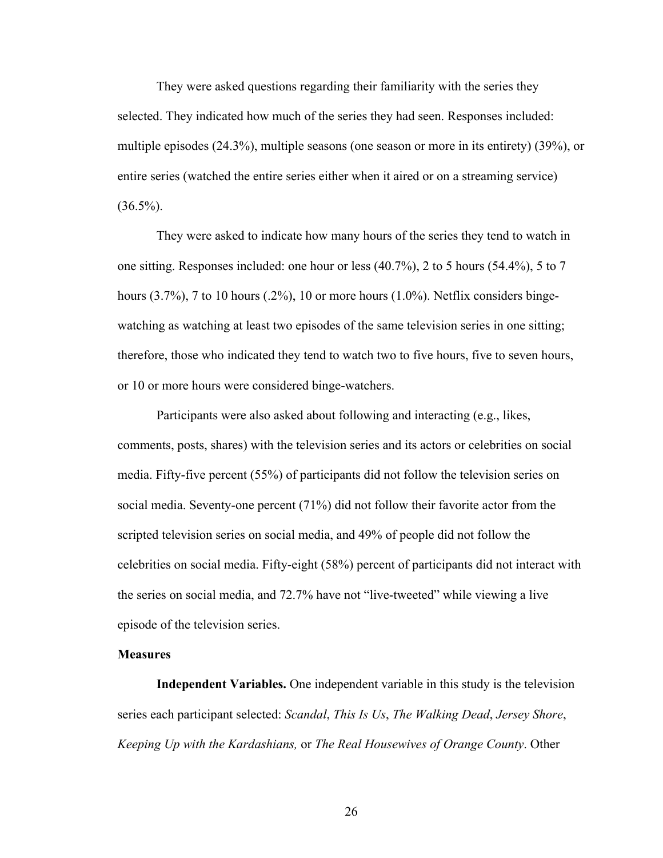They were asked questions regarding their familiarity with the series they selected. They indicated how much of the series they had seen. Responses included: multiple episodes (24.3%), multiple seasons (one season or more in its entirety) (39%), or entire series (watched the entire series either when it aired or on a streaming service)  $(36.5\%)$ .

They were asked to indicate how many hours of the series they tend to watch in one sitting. Responses included: one hour or less (40.7%), 2 to 5 hours (54.4%), 5 to 7 hours  $(3.7\%)$ , 7 to 10 hours  $(.2\%)$ , 10 or more hours  $(1.0\%)$ . Netflix considers bingewatching as watching at least two episodes of the same television series in one sitting; therefore, those who indicated they tend to watch two to five hours, five to seven hours, or 10 or more hours were considered binge-watchers.

Participants were also asked about following and interacting (e.g., likes, comments, posts, shares) with the television series and its actors or celebrities on social media. Fifty-five percent (55%) of participants did not follow the television series on social media. Seventy-one percent (71%) did not follow their favorite actor from the scripted television series on social media, and 49% of people did not follow the celebrities on social media. Fifty-eight (58%) percent of participants did not interact with the series on social media, and 72.7% have not "live-tweeted" while viewing a live episode of the television series.

## **Measures**

**Independent Variables.** One independent variable in this study is the television series each participant selected: *Scandal*, *This Is Us*, *The Walking Dead*, *Jersey Shore*, *Keeping Up with the Kardashians,* or *The Real Housewives of Orange County*. Other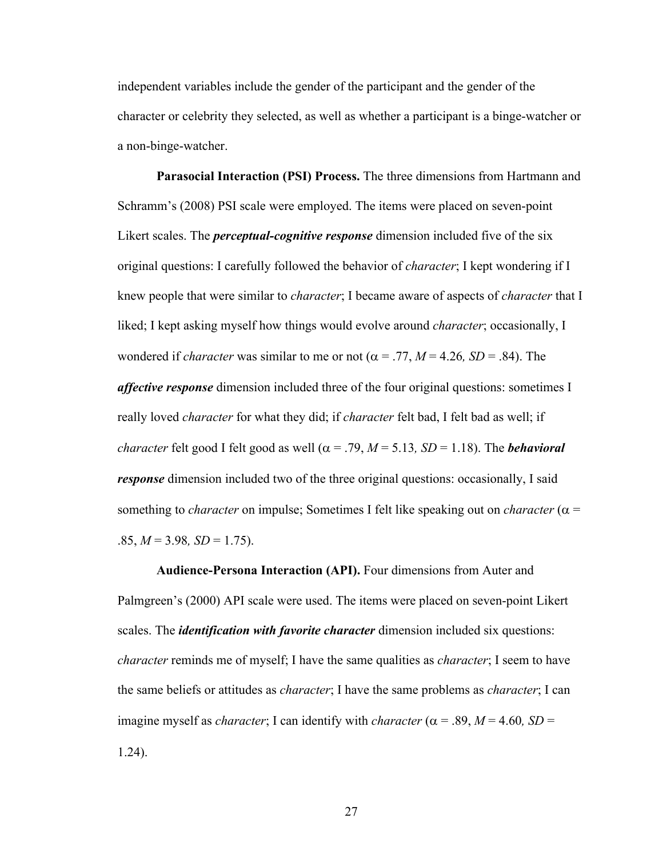independent variables include the gender of the participant and the gender of the character or celebrity they selected, as well as whether a participant is a binge-watcher or a non-binge-watcher.

**Parasocial Interaction (PSI) Process.** The three dimensions from Hartmann and Schramm's (2008) PSI scale were employed. The items were placed on seven-point Likert scales. The *perceptual-cognitive response* dimension included five of the six original questions: I carefully followed the behavior of *character*; I kept wondering if I knew people that were similar to *character*; I became aware of aspects of *character* that I liked; I kept asking myself how things would evolve around *character*; occasionally, I wondered if *character* was similar to me or not ( $\alpha$  = .77, *M* = 4.26*, SD* = .84). The *affective response* dimension included three of the four original questions: sometimes I really loved *character* for what they did; if *character* felt bad, I felt bad as well; if *character* felt good I felt good as well ( $\alpha$  = .79, *M* = 5.13*, SD* = 1.18). The *behavioral response* dimension included two of the three original questions: occasionally, I said something to *character* on impulse; Sometimes I felt like speaking out on *character* ( $\alpha$  =  $.85, M = 3.98, SD = 1.75$ .

**Audience-Persona Interaction (API).** Four dimensions from Auter and Palmgreen's (2000) API scale were used. The items were placed on seven-point Likert scales. The *identification with favorite character* dimension included six questions: *character* reminds me of myself; I have the same qualities as *character*; I seem to have the same beliefs or attitudes as *character*; I have the same problems as *character*; I can imagine myself as *character*; I can identify with *character* ( $\alpha$  = .89, *M* = 4.60*, SD* = 1.24).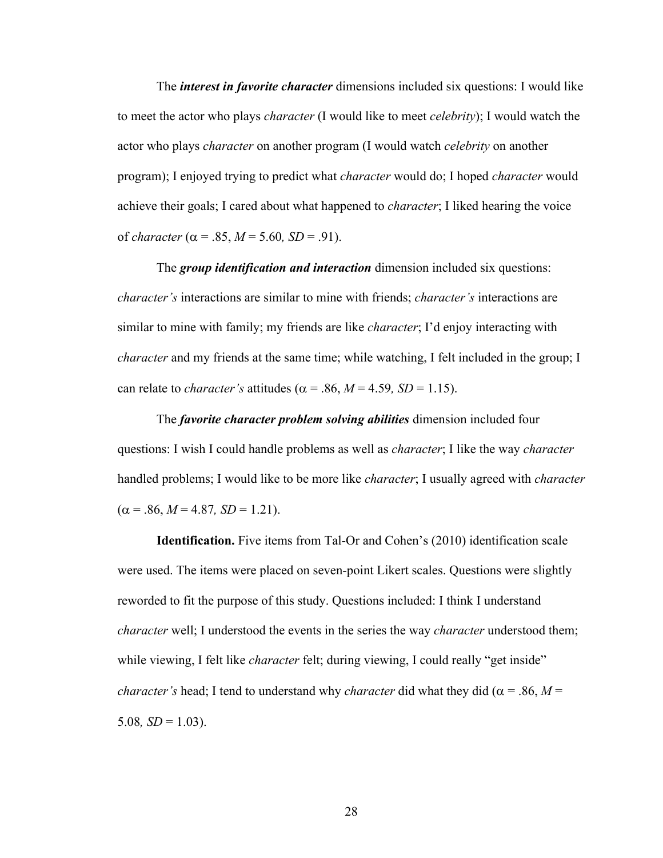The *interest in favorite character* dimensions included six questions: I would like to meet the actor who plays *character* (I would like to meet *celebrity*); I would watch the actor who plays *character* on another program (I would watch *celebrity* on another program); I enjoyed trying to predict what *character* would do; I hoped *character* would achieve their goals; I cared about what happened to *character*; I liked hearing the voice of *character* ( $\alpha$  = .85, *M* = 5.60*, SD* = .91).

The *group identification and interaction* dimension included six questions: *character's* interactions are similar to mine with friends; *character's* interactions are similar to mine with family; my friends are like *character*; I'd enjoy interacting with *character* and my friends at the same time; while watching, I felt included in the group; I can relate to *character's* attitudes ( $\alpha$  = .86, *M* = 4.59, *SD* = 1.15).

The *favorite character problem solving abilities* dimension included four questions: I wish I could handle problems as well as *character*; I like the way *character* handled problems; I would like to be more like *character*; I usually agreed with *character*  $(\alpha = .86, M = 4.87, SD = 1.21).$ 

**Identification.** Five items from Tal-Or and Cohen's (2010) identification scale were used. The items were placed on seven-point Likert scales. Questions were slightly reworded to fit the purpose of this study. Questions included: I think I understand *character* well; I understood the events in the series the way *character* understood them; while viewing, I felt like *character* felt; during viewing, I could really "get inside" *character's* head; I tend to understand why *character* did what they did ( $\alpha$  = .86, *M* = 5.08 $, SD = 1.03$ ).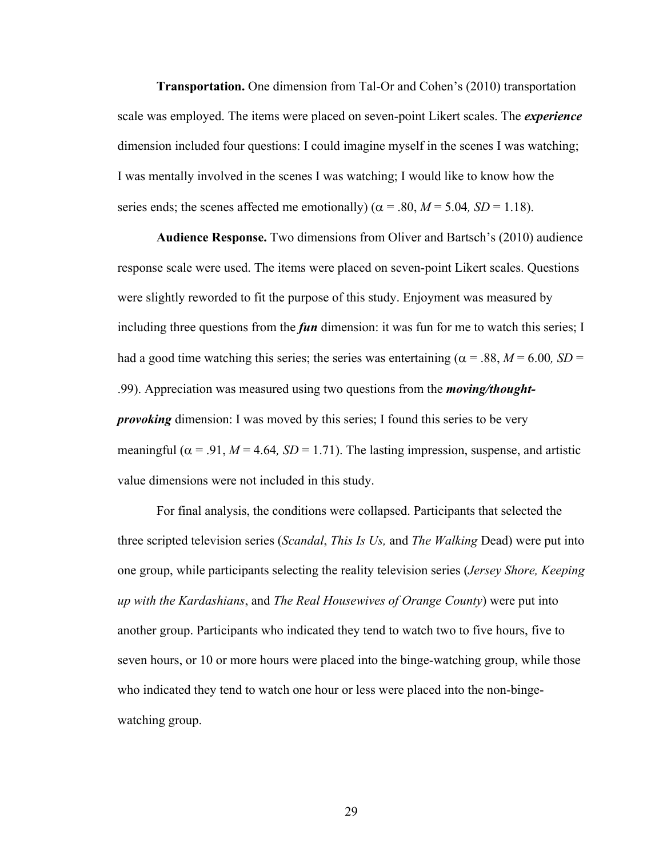**Transportation.** One dimension from Tal-Or and Cohen's (2010) transportation scale was employed. The items were placed on seven-point Likert scales. The *experience*  dimension included four questions: I could imagine myself in the scenes I was watching; I was mentally involved in the scenes I was watching; I would like to know how the series ends; the scenes affected me emotionally) ( $\alpha$  = .80,  $M$  = 5.04, *SD* = 1.18).

**Audience Response.** Two dimensions from Oliver and Bartsch's (2010) audience response scale were used. The items were placed on seven-point Likert scales. Questions were slightly reworded to fit the purpose of this study. Enjoyment was measured by including three questions from the *fun* dimension: it was fun for me to watch this series; I had a good time watching this series; the series was entertaining ( $\alpha$  = .88, *M* = 6.00, *SD* = .99). Appreciation was measured using two questions from the *moving/thoughtprovoking* dimension: I was moved by this series; I found this series to be very meaningful ( $\alpha$  = .91, *M* = 4.64*, SD* = 1.71). The lasting impression, suspense, and artistic value dimensions were not included in this study.

For final analysis, the conditions were collapsed. Participants that selected the three scripted television series (*Scandal*, *This Is Us,* and *The Walking* Dead) were put into one group, while participants selecting the reality television series (*Jersey Shore, Keeping up with the Kardashians*, and *The Real Housewives of Orange County*) were put into another group. Participants who indicated they tend to watch two to five hours, five to seven hours, or 10 or more hours were placed into the binge-watching group, while those who indicated they tend to watch one hour or less were placed into the non-bingewatching group.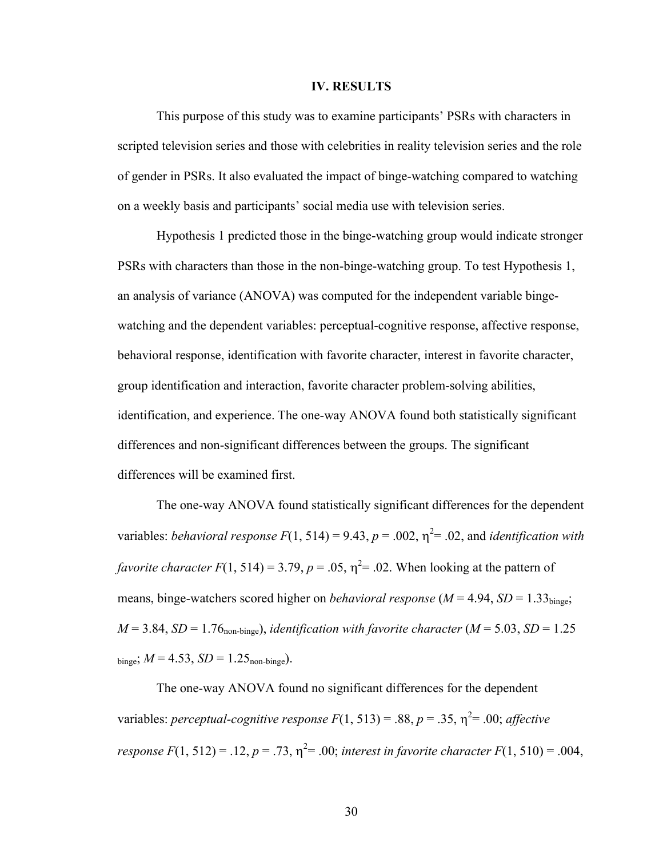#### **IV. RESULTS**

This purpose of this study was to examine participants' PSRs with characters in scripted television series and those with celebrities in reality television series and the role of gender in PSRs. It also evaluated the impact of binge-watching compared to watching on a weekly basis and participants' social media use with television series.

Hypothesis 1 predicted those in the binge-watching group would indicate stronger PSRs with characters than those in the non-binge-watching group. To test Hypothesis 1, an analysis of variance (ANOVA) was computed for the independent variable bingewatching and the dependent variables: perceptual-cognitive response, affective response, behavioral response, identification with favorite character, interest in favorite character, group identification and interaction, favorite character problem-solving abilities, identification, and experience. The one-way ANOVA found both statistically significant differences and non-significant differences between the groups. The significant differences will be examined first.

The one-way ANOVA found statistically significant differences for the dependent variables: *behavioral response*  $F(1, 514) = 9.43$ ,  $p = .002$ ,  $\eta^2 = .02$ , and *identification with favorite character*  $F(1, 514) = 3.79$ ,  $p = .05$ ,  $\eta^2 = .02$ . When looking at the pattern of means, binge-watchers scored higher on *behavioral response* ( $M = 4.94$ ,  $SD = 1.33$ <sub>binge</sub>;  $M = 3.84$ ,  $SD = 1.76$ <sub>non-binge</sub>), *identification with favorite character* ( $M = 5.03$ ,  $SD = 1.25$  $_{\text{binge}}$ ;  $M = 4.53$ ,  $SD = 1.25$ <sub>non-binge</sub>).

The one-way ANOVA found no significant differences for the dependent variables: *perceptual-cognitive response*  $F(1, 513) = .88$ ,  $p = .35$ ,  $\eta^2 = .00$ ; *affective response*  $F(1, 512) = .12$ ,  $p = .73$ ,  $\eta^2 = .00$ ; *interest in favorite character*  $F(1, 510) = .004$ ,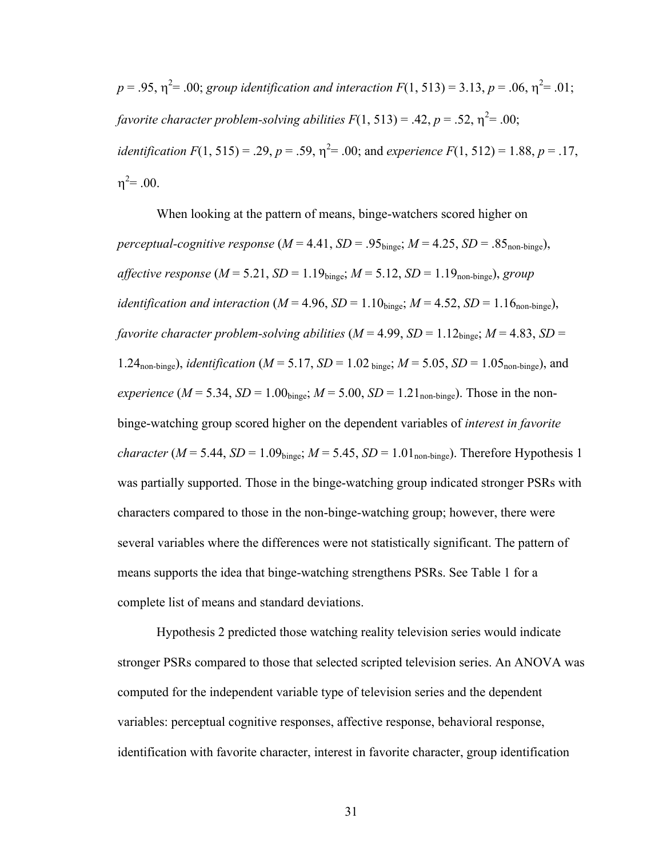$p = .95, \eta^2 = .00$ ; *group identification and interaction*  $F(1, 513) = 3.13, p = .06, \eta^2 = .01$ ; *favorite character problem-solving abilities*  $F(1, 513) = .42, p = .52, \eta^2 = .00;$ *identification*  $F(1, 515) = .29$ ,  $p = .59$ ,  $\eta^2 = .00$ ; and *experience*  $F(1, 512) = 1.88$ ,  $p = .17$ ,  $\eta^2 = .00$ .

When looking at the pattern of means, binge-watchers scored higher on *perceptual-cognitive response*  $(M = 4.41, SD = .95_{\text{binge}}; M = 4.25, SD = .85_{\text{non-binge}})$ , *affective response* ( $M = 5.21$ ,  $SD = 1.19$ <sub>binge</sub>;  $M = 5.12$ ,  $SD = 1.19$ <sub>non-binge</sub>), *group identification and interaction* ( $M = 4.96$ ,  $SD = 1.10$ <sub>binge</sub>;  $M = 4.52$ ,  $SD = 1.16$ <sub>non-binge</sub>), *favorite character problem-solving abilities* ( $M = 4.99$ ,  $SD = 1.12$ <sub>binge</sub>;  $M = 4.83$ ,  $SD =$ 1.24<sub>non-binge</sub>), *identification* ( $M = 5.17$ ,  $SD = 1.02$  <sub>binge</sub>;  $M = 5.05$ ,  $SD = 1.05$ <sub>non-binge</sub>), and *experience* ( $M = 5.34$ ,  $SD = 1.00$ <sub>binge</sub>;  $M = 5.00$ ,  $SD = 1.21$ <sub>non-binge</sub>). Those in the nonbinge-watching group scored higher on the dependent variables of *interest in favorite character* ( $M = 5.44$ ,  $SD = 1.09$ <sub>binge</sub>;  $M = 5.45$ ,  $SD = 1.01$ <sub>non-binge</sub>). Therefore Hypothesis 1 was partially supported. Those in the binge-watching group indicated stronger PSRs with characters compared to those in the non-binge-watching group; however, there were several variables where the differences were not statistically significant. The pattern of means supports the idea that binge-watching strengthens PSRs. See Table 1 for a complete list of means and standard deviations.

Hypothesis 2 predicted those watching reality television series would indicate stronger PSRs compared to those that selected scripted television series. An ANOVA was computed for the independent variable type of television series and the dependent variables: perceptual cognitive responses, affective response, behavioral response, identification with favorite character, interest in favorite character, group identification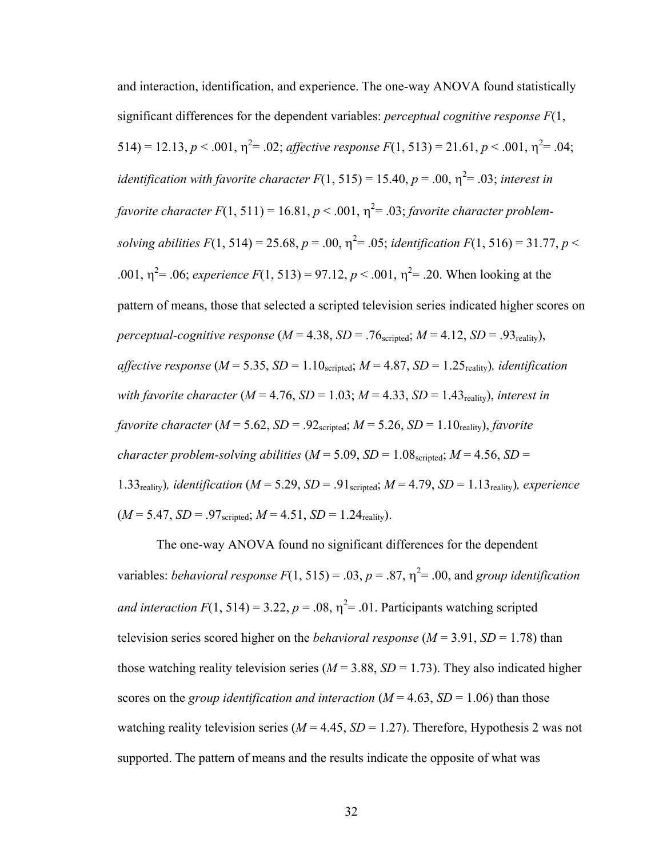and interaction, identification, and experience. The one-way ANOVA found statistically significant differences for the dependent variables: *perceptual cognitive response F*(1, 514) = 12.13,  $p < .001$ ,  $\eta^2 = .02$ ; *affective response*  $F(1, 513) = 21.61$ ,  $p < .001$ ,  $\eta^2 = .04$ ; *identification with favorite character*  $F(1, 515) = 15.40$ ,  $p = .00$ ,  $\eta^2 = .03$ ; *interest in favorite character*  $F(1, 511) = 16.81, p < .001, \eta^2 = .03$ ; *favorite character problemsolving abilities F*(1, 514) = 25.68,  $p = .00$ ,  $\eta^2 = .05$ ; *identification F*(1, 516) = 31.77,  $p <$ .001,  $\eta^2$  = .06; *experience F*(1, 513) = 97.12, *p* < .001,  $\eta^2$  = .20. When looking at the pattern of means, those that selected a scripted television series indicated higher scores on *perceptual-cognitive response*  $(M = 4.38, SD = .76_{scribed}$ ;  $M = 4.12, SD = .93_{\text{reality}}$ , *affective response* ( $M = 5.35$ ,  $SD = 1.10$ <sub>scripted</sub>;  $M = 4.87$ ,  $SD = 1.25$ <sub>reality</sub>), *identification with favorite character*  $(M = 4.76, SD = 1.03; M = 4.33, SD = 1.43$ <sub>reality</sub>), *interest in favorite character* ( $M = 5.62$ ,  $SD = .92$ <sub>scripted</sub>;  $M = 5.26$ ,  $SD = 1.10$ <sub>reality</sub>), *favorite character problem-solving abilities*  $(M = 5.09, SD = 1.08)$ <sub>scripted</sub>;  $M = 4.56, SD =$ 1.33<sub>reality</sub>)*, identification* ( $M = 5.29$ ,  $SD = .91$ <sub>scripted</sub>;  $M = 4.79$ ,  $SD = 1.13$ <sub>reality</sub>)*, experience*  $(M = 5.47, SD = .97$ <sub>scripted</sub>;  $M = 4.51, SD = 1.24$ <sub>reality</sub>).

The one-way ANOVA found no significant differences for the dependent variables: *behavioral response*  $F(1, 515) = .03$ ,  $p = .87$ ,  $\eta^2 = .00$ , and *group identification and interaction*  $F(1, 514) = 3.22$ ,  $p = .08$ ,  $\eta^2 = .01$ . Participants watching scripted television series scored higher on the *behavioral response*  $(M = 3.91, SD = 1.78)$  than those watching reality television series  $(M = 3.88, SD = 1.73)$ . They also indicated higher scores on the *group identification and interaction*  $(M = 4.63, SD = 1.06)$  than those watching reality television series ( $M = 4.45$ ,  $SD = 1.27$ ). Therefore, Hypothesis 2 was not supported. The pattern of means and the results indicate the opposite of what was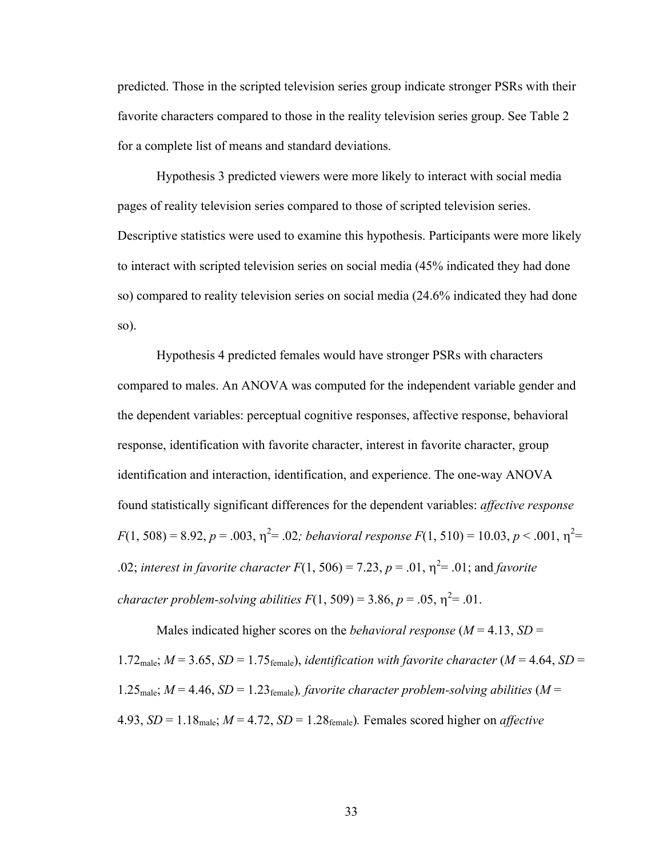predicted. Those in the scripted television series group indicate stronger PSRs with their favorite characters compared to those in the reality television series group. See Table 2 for a complete list of means and standard deviations.

Hypothesis 3 predicted viewers were more likely to interact with social media pages of reality television series compared to those of scripted television series. Descriptive statistics were used to examine this hypothesis. Participants were more likely to interact with scripted television series on social media (45% indicated they had done so) compared to reality television series on social media (24.6% indicated they had done so).

Hypothesis 4 predicted females would have stronger PSRs with characters compared to males. An ANOVA was computed for the independent variable gender and the dependent variables: perceptual cognitive responses, affective response, behavioral response, identification with favorite character, interest in favorite character, group identification and interaction, identification, and experience. The one-way ANOVA found statistically significant differences for the dependent variables: *affective response*  $F(1, 508) = 8.92, p = .003, \eta^2 = .02$ ; behavioral response  $F(1, 510) = 10.03, p < .001, \eta^2 =$ .02; *interest in favorite character*  $F(1, 506) = 7.23$ ,  $p = .01$ ,  $\eta^2 = .01$ ; and *favorite character problem-solving abilities*  $F(1, 509) = 3.86$ ,  $p = .05$ ,  $\eta^2 = .01$ .

Males indicated higher scores on the *behavioral response* ( $M = 4.13$ ,  $SD =$ 1.72<sub>male</sub>;  $M = 3.65$ ,  $SD = 1.75$ <sub>female</sub>), *identification with favorite character* ( $M = 4.64$ ,  $SD =$ 1.25<sub>male</sub>;  $M = 4.46$ ,  $SD = 1.23$ <sub>female</sub>), favorite character problem-solving abilities ( $M =$ 4.93,  $SD = 1.18$ <sub>male</sub>;  $M = 4.72$ ,  $SD = 1.28$ <sub>female</sub>). Females scored higher on *affective*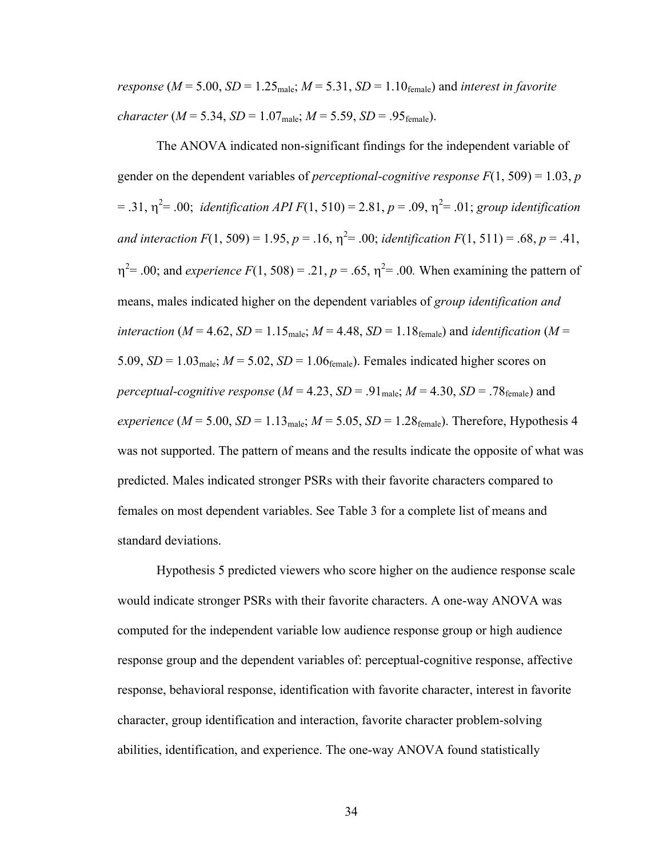*response* ( $M = 5.00$ ,  $SD = 1.25$ <sub>male</sub>;  $M = 5.31$ ,  $SD = 1.10$ <sub>female</sub>) and *interest in favorite character* ( $M = 5.34$ ,  $SD = 1.07$ <sub>male</sub>;  $M = 5.59$ ,  $SD = .95$ <sub>female</sub>).

The ANOVA indicated non-significant findings for the independent variable of gender on the dependent variables of *perceptional-cognitive response F*(1, 509) = 1.03, *p*  $=$  .31,  $\eta^2$  = .00; *identification API F*(1, 510) = 2.81, *p* = .09,  $\eta^2$  = .01; *group identification and interaction*  $F(1, 509) = 1.95$ ,  $p = .16$ ,  $\eta^2 = .00$ ; *identification*  $F(1, 511) = .68$ ,  $p = .41$ ,  $\eta^2$  = .00; and *experience F*(1, 508) = .21, *p* = .65,  $\eta^2$  = .00. When examining the pattern of means, males indicated higher on the dependent variables of *group identification and interaction* ( $M = 4.62$ ,  $SD = 1.15$ <sub>male</sub>;  $M = 4.48$ ,  $SD = 1.18$ <sub>female</sub>) and *identification* ( $M =$ 5.09,  $SD = 1.03$ <sub>male</sub>;  $M = 5.02$ ,  $SD = 1.06$ <sub>female</sub>). Females indicated higher scores on *perceptual-cognitive response*  $(M = 4.23, SD = .91_{male}; M = 4.30, SD = .78_{female})$  and *experience* ( $M = 5.00$ ,  $SD = 1.13$ <sub>male</sub>;  $M = 5.05$ ,  $SD = 1.28$ <sub>female</sub>). Therefore, Hypothesis 4 was not supported. The pattern of means and the results indicate the opposite of what was predicted. Males indicated stronger PSRs with their favorite characters compared to females on most dependent variables. See Table 3 for a complete list of means and standard deviations.

Hypothesis 5 predicted viewers who score higher on the audience response scale would indicate stronger PSRs with their favorite characters. A one-way ANOVA was computed for the independent variable low audience response group or high audience response group and the dependent variables of: perceptual-cognitive response, affective response, behavioral response, identification with favorite character, interest in favorite character, group identification and interaction, favorite character problem-solving abilities, identification, and experience. The one-way ANOVA found statistically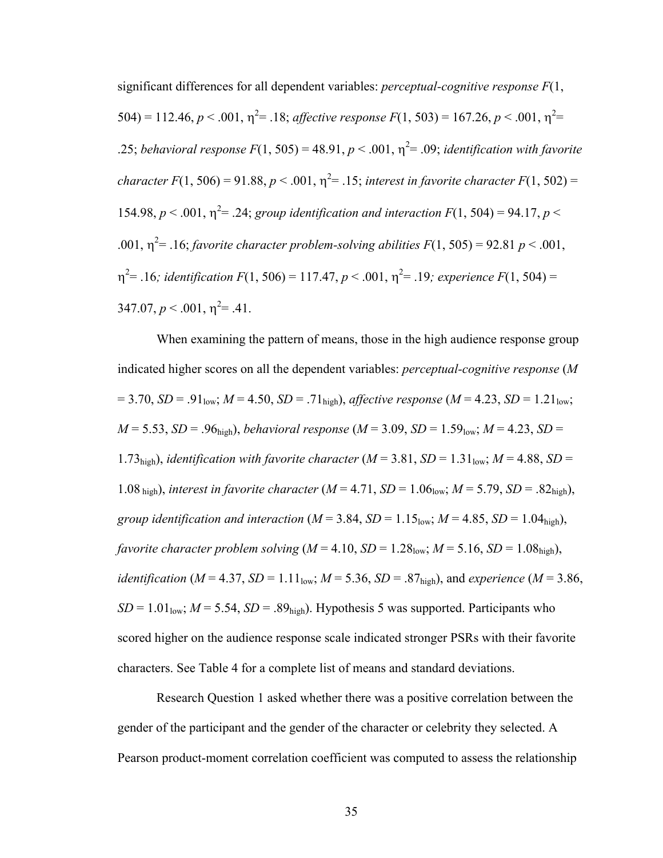significant differences for all dependent variables: *perceptual-cognitive response F*(1, 504) = 112.46,  $p < .001$ ,  $\eta^2$  = .18; *affective response F*(1, 503) = 167.26,  $p < .001$ ,  $\eta^2$  = .25; *behavioral response*  $F(1, 505) = 48.91, p < .001, \eta^2 = .09$ ; *identification with favorite character*  $F(1, 506) = 91.88$ ,  $p < .001$ ,  $\eta^2 = .15$ ; *interest in favorite character*  $F(1, 502) =$ 154.98,  $p < .001$ ,  $\eta^2 = .24$ ; *group identification and interaction*  $F(1, 504) = 94.17$ ,  $p <$ .001,  $\eta^2$  = .16; *favorite character problem-solving abilities*  $F(1, 505) = 92.81$   $p < .001$ ,  $\eta^2$ = .16*; identification F*(1, 506) = 117.47, *p* < .001,  $\eta^2$ = .19*; experience F*(1, 504) =  $347.07, p < .001, \eta^2 = .41.$ 

When examining the pattern of means, those in the high audience response group indicated higher scores on all the dependent variables: *perceptual-cognitive response* (*M*  $= 3.70, SD = .91_{low}$ ;  $M = 4.50, SD = .71_{high}$ ), *affective response* ( $M = 4.23, SD = 1.21_{low}$ ;  $M = 5.53$ , *SD* = .96<sub>high</sub>), *behavioral response* ( $M = 3.09$ , *SD* = 1.59<sub>low</sub>;  $M = 4.23$ , *SD* = 1.73<sub>high</sub>), *identification with favorite character* ( $M = 3.81$ ,  $SD = 1.31$ <sub>low</sub>;  $M = 4.88$ ,  $SD = 1.31$ 1.08 high), *interest in favorite character*  $(M = 4.71, SD = 1.06$ <sub>low</sub>;  $M = 5.79, SD = .82$ <sub>high</sub>), *group identification and interaction* ( $M = 3.84$ ,  $SD = 1.15$ <sub>low</sub>;  $M = 4.85$ ,  $SD = 1.04$ <sub>high</sub>), *favorite character problem solving*  $(M = 4.10, SD = 1.28_{low}$ ;  $M = 5.16, SD = 1.08_{high}$ ), *identification* (*M* = 4.37, *SD* = 1.11<sub>low</sub>; *M* = 5.36, *SD* = .87<sub>high</sub>), and *experience* (*M* = 3.86,  $SD = 1.01_{\text{low}}$ ;  $M = 5.54$ ,  $SD = .89_{\text{high}}$ ). Hypothesis 5 was supported. Participants who scored higher on the audience response scale indicated stronger PSRs with their favorite characters. See Table 4 for a complete list of means and standard deviations.

Research Question 1 asked whether there was a positive correlation between the gender of the participant and the gender of the character or celebrity they selected. A Pearson product-moment correlation coefficient was computed to assess the relationship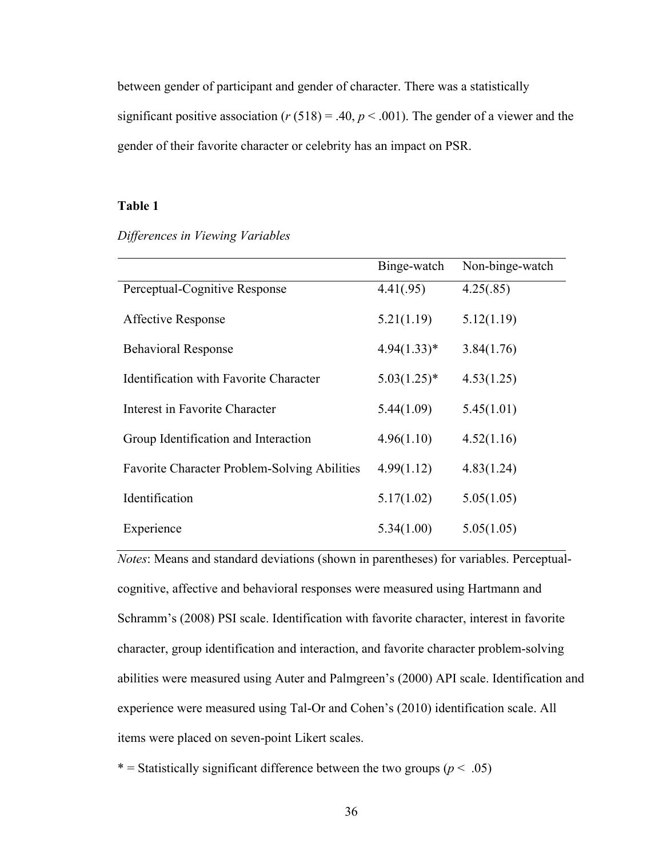between gender of participant and gender of character. There was a statistically significant positive association ( $r(518) = .40$ ,  $p < .001$ ). The gender of a viewer and the gender of their favorite character or celebrity has an impact on PSR.

# **Table 1**

## *Differences in Viewing Variables*

|                                                     | Binge-watch    | Non-binge-watch |
|-----------------------------------------------------|----------------|-----------------|
| Perceptual-Cognitive Response                       | 4.41(.95)      | 4.25(.85)       |
| <b>Affective Response</b>                           | 5.21(1.19)     | 5.12(1.19)      |
| <b>Behavioral Response</b>                          | $4.94(1.33)*$  | 3.84(1.76)      |
| <b>Identification with Favorite Character</b>       | $5.03(1.25)$ * | 4.53(1.25)      |
| Interest in Favorite Character                      | 5.44(1.09)     | 5.45(1.01)      |
| Group Identification and Interaction                | 4.96(1.10)     | 4.52(1.16)      |
| <b>Favorite Character Problem-Solving Abilities</b> | 4.99(1.12)     | 4.83(1.24)      |
| Identification                                      | 5.17(1.02)     | 5.05(1.05)      |
| Experience                                          | 5.34(1.00)     | 5.05(1.05)      |

*Notes*: Means and standard deviations (shown in parentheses) for variables. Perceptualcognitive, affective and behavioral responses were measured using Hartmann and Schramm's (2008) PSI scale. Identification with favorite character, interest in favorite character, group identification and interaction, and favorite character problem-solving abilities were measured using Auter and Palmgreen's (2000) API scale. Identification and experience were measured using Tal-Or and Cohen's (2010) identification scale. All items were placed on seven-point Likert scales.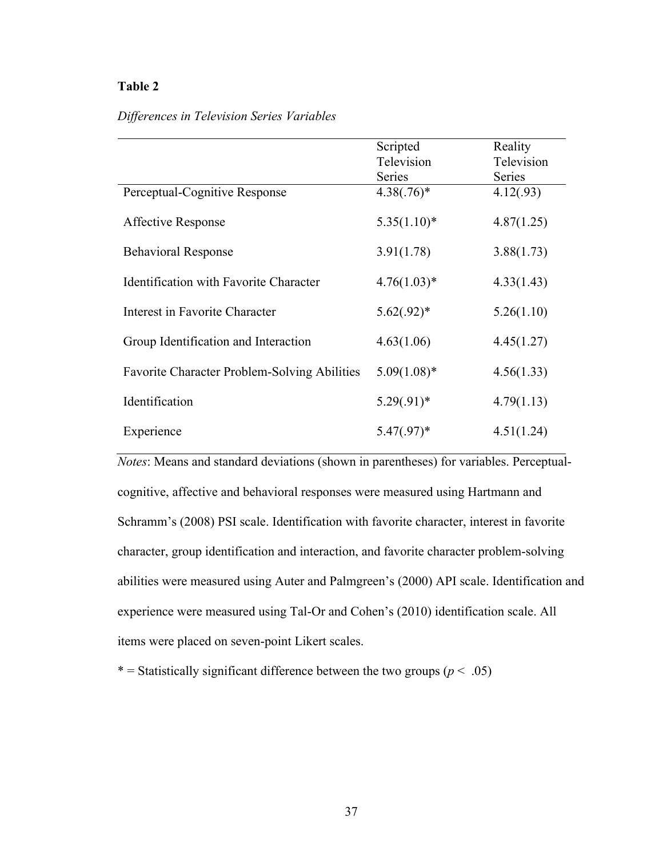# **Table 2**

# *Differences in Television Series Variables*

|                                                     | Scripted       | Reality    |
|-----------------------------------------------------|----------------|------------|
|                                                     | Television     | Television |
|                                                     | Series         | Series     |
| Perceptual-Cognitive Response                       | $4.38(.76)$ *  | 4.12(.93)  |
| <b>Affective Response</b>                           | $5.35(1.10)^*$ | 4.87(1.25) |
| <b>Behavioral Response</b>                          | 3.91(1.78)     | 3.88(1.73) |
| <b>Identification with Favorite Character</b>       | $4.76(1.03)^*$ | 4.33(1.43) |
| Interest in Favorite Character                      | $5.62(.92)*$   | 5.26(1.10) |
| Group Identification and Interaction                | 4.63(1.06)     | 4.45(1.27) |
| <b>Favorite Character Problem-Solving Abilities</b> | $5.09(1.08)$ * | 4.56(1.33) |
| Identification                                      | $5.29(.91)*$   | 4.79(1.13) |
| Experience                                          | $5.47(.97)^*$  | 4.51(1.24) |

*Notes*: Means and standard deviations (shown in parentheses) for variables. Perceptualcognitive, affective and behavioral responses were measured using Hartmann and Schramm's (2008) PSI scale. Identification with favorite character, interest in favorite character, group identification and interaction, and favorite character problem-solving abilities were measured using Auter and Palmgreen's (2000) API scale. Identification and experience were measured using Tal-Or and Cohen's (2010) identification scale. All items were placed on seven-point Likert scales.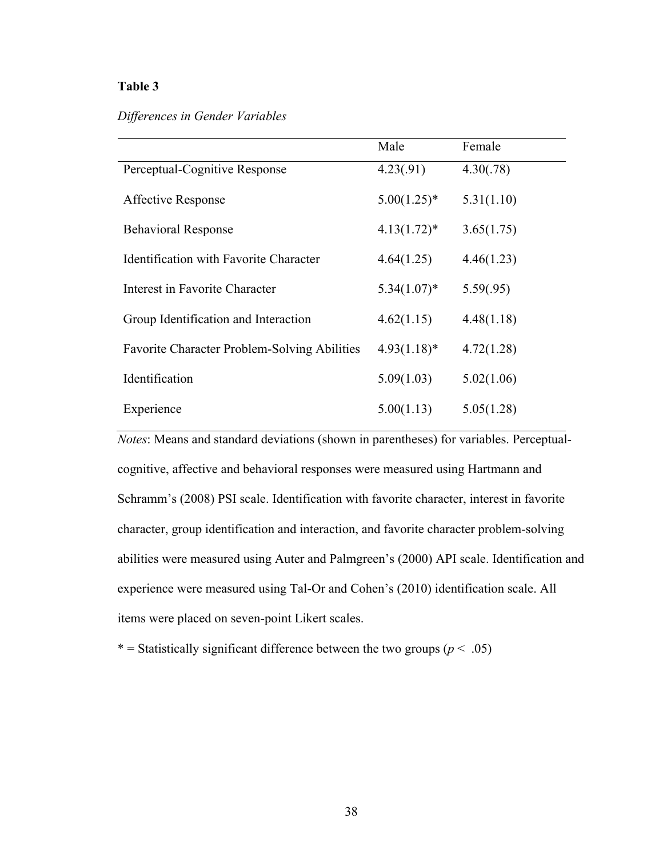# **Table 3**

# *Differences in Gender Variables*

|                                                     | Male           | Female     |
|-----------------------------------------------------|----------------|------------|
| Perceptual-Cognitive Response                       | 4.23(.91)      | 4.30(.78)  |
| <b>Affective Response</b>                           | $5.00(1.25)$ * | 5.31(1.10) |
| <b>Behavioral Response</b>                          | $4.13(1.72)^*$ | 3.65(1.75) |
| <b>Identification with Favorite Character</b>       | 4.64(1.25)     | 4.46(1.23) |
| Interest in Favorite Character                      | $5.34(1.07)^*$ | 5.59(.95)  |
| Group Identification and Interaction                | 4.62(1.15)     | 4.48(1.18) |
| <b>Favorite Character Problem-Solving Abilities</b> | $4.93(1.18)^*$ | 4.72(1.28) |
| Identification                                      | 5.09(1.03)     | 5.02(1.06) |
| Experience                                          | 5.00(1.13)     | 5.05(1.28) |

*Notes*: Means and standard deviations (shown in parentheses) for variables. Perceptualcognitive, affective and behavioral responses were measured using Hartmann and Schramm's (2008) PSI scale. Identification with favorite character, interest in favorite character, group identification and interaction, and favorite character problem-solving abilities were measured using Auter and Palmgreen's (2000) API scale. Identification and experience were measured using Tal-Or and Cohen's (2010) identification scale. All items were placed on seven-point Likert scales.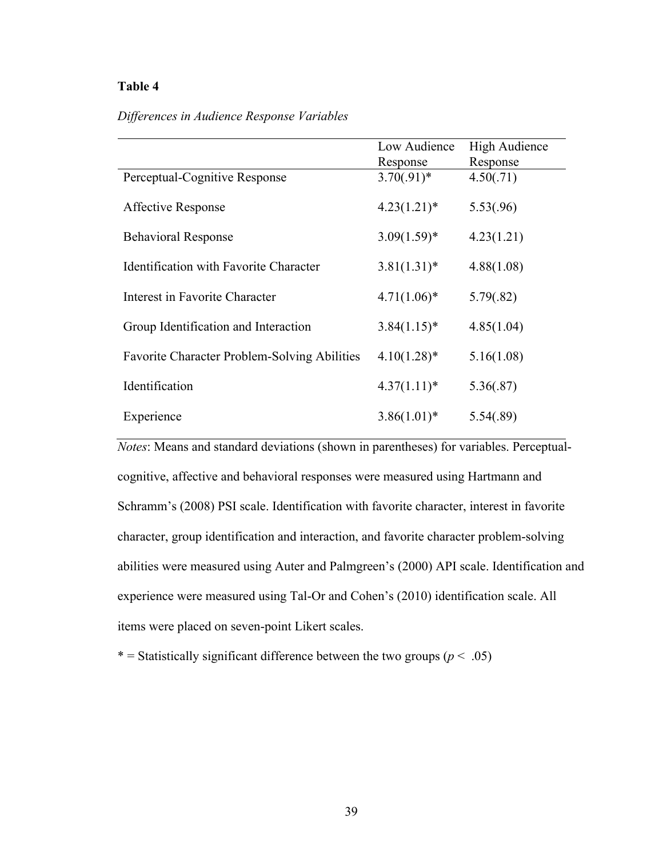# **Table 4**

# *Differences in Audience Response Variables*

|                                                     | Low Audience   | <b>High Audience</b> |
|-----------------------------------------------------|----------------|----------------------|
|                                                     | Response       | Response             |
| Perceptual-Cognitive Response                       | $3.70(.91)$ *  | 4.50(.71)            |
| <b>Affective Response</b>                           | $4.23(1.21)^*$ | 5.53(.96)            |
| <b>Behavioral Response</b>                          | $3.09(1.59)^*$ | 4.23(1.21)           |
| <b>Identification with Favorite Character</b>       | $3.81(1.31)^*$ | 4.88(1.08)           |
| Interest in Favorite Character                      | $4.71(1.06)^*$ | 5.79(.82)            |
| Group Identification and Interaction                | $3.84(1.15)^*$ | 4.85(1.04)           |
| <b>Favorite Character Problem-Solving Abilities</b> | $4.10(1.28)$ * | 5.16(1.08)           |
| Identification                                      | $4.37(1.11)^*$ | 5.36(.87)            |
| Experience                                          | $3.86(1.01)^*$ | 5.54(.89)            |

*Notes*: Means and standard deviations (shown in parentheses) for variables. Perceptualcognitive, affective and behavioral responses were measured using Hartmann and Schramm's (2008) PSI scale. Identification with favorite character, interest in favorite character, group identification and interaction, and favorite character problem-solving abilities were measured using Auter and Palmgreen's (2000) API scale. Identification and experience were measured using Tal-Or and Cohen's (2010) identification scale. All items were placed on seven-point Likert scales.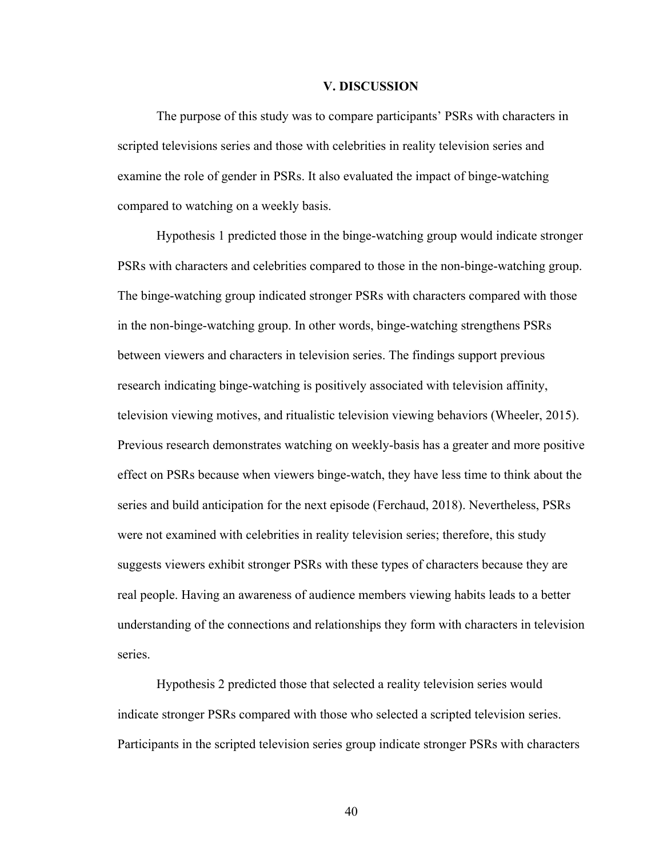## **V. DISCUSSION**

The purpose of this study was to compare participants' PSRs with characters in scripted televisions series and those with celebrities in reality television series and examine the role of gender in PSRs. It also evaluated the impact of binge-watching compared to watching on a weekly basis.

Hypothesis 1 predicted those in the binge-watching group would indicate stronger PSRs with characters and celebrities compared to those in the non-binge-watching group. The binge-watching group indicated stronger PSRs with characters compared with those in the non-binge-watching group. In other words, binge-watching strengthens PSRs between viewers and characters in television series. The findings support previous research indicating binge-watching is positively associated with television affinity, television viewing motives, and ritualistic television viewing behaviors (Wheeler, 2015). Previous research demonstrates watching on weekly-basis has a greater and more positive effect on PSRs because when viewers binge-watch, they have less time to think about the series and build anticipation for the next episode (Ferchaud, 2018). Nevertheless, PSRs were not examined with celebrities in reality television series; therefore, this study suggests viewers exhibit stronger PSRs with these types of characters because they are real people. Having an awareness of audience members viewing habits leads to a better understanding of the connections and relationships they form with characters in television series.

Hypothesis 2 predicted those that selected a reality television series would indicate stronger PSRs compared with those who selected a scripted television series. Participants in the scripted television series group indicate stronger PSRs with characters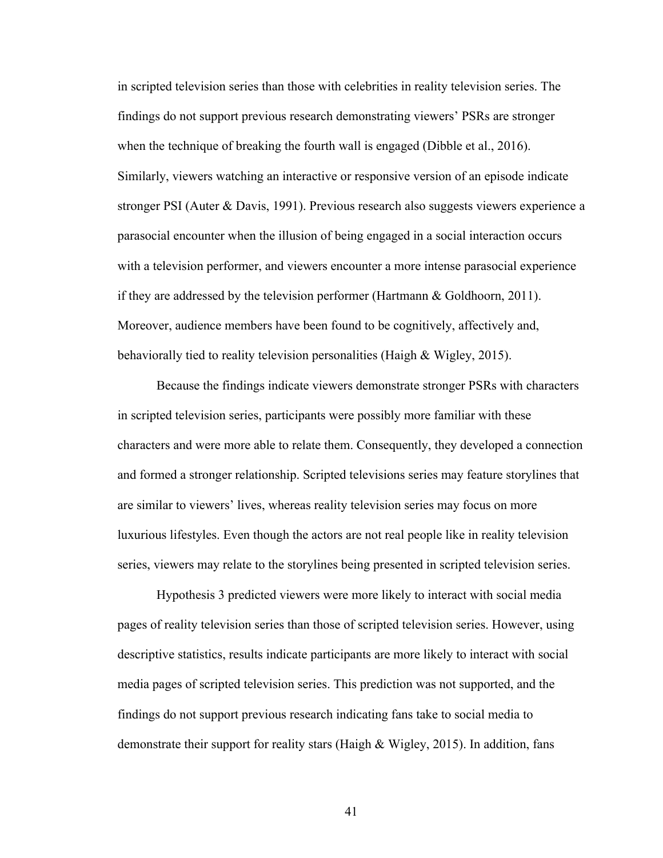in scripted television series than those with celebrities in reality television series. The findings do not support previous research demonstrating viewers' PSRs are stronger when the technique of breaking the fourth wall is engaged (Dibble et al., 2016). Similarly, viewers watching an interactive or responsive version of an episode indicate stronger PSI (Auter & Davis, 1991). Previous research also suggests viewers experience a parasocial encounter when the illusion of being engaged in a social interaction occurs with a television performer, and viewers encounter a more intense parasocial experience if they are addressed by the television performer (Hartmann & Goldhoorn, 2011). Moreover, audience members have been found to be cognitively, affectively and, behaviorally tied to reality television personalities (Haigh & Wigley, 2015).

Because the findings indicate viewers demonstrate stronger PSRs with characters in scripted television series, participants were possibly more familiar with these characters and were more able to relate them. Consequently, they developed a connection and formed a stronger relationship. Scripted televisions series may feature storylines that are similar to viewers' lives, whereas reality television series may focus on more luxurious lifestyles. Even though the actors are not real people like in reality television series, viewers may relate to the storylines being presented in scripted television series.

Hypothesis 3 predicted viewers were more likely to interact with social media pages of reality television series than those of scripted television series. However, using descriptive statistics, results indicate participants are more likely to interact with social media pages of scripted television series. This prediction was not supported, and the findings do not support previous research indicating fans take to social media to demonstrate their support for reality stars (Haigh & Wigley, 2015). In addition, fans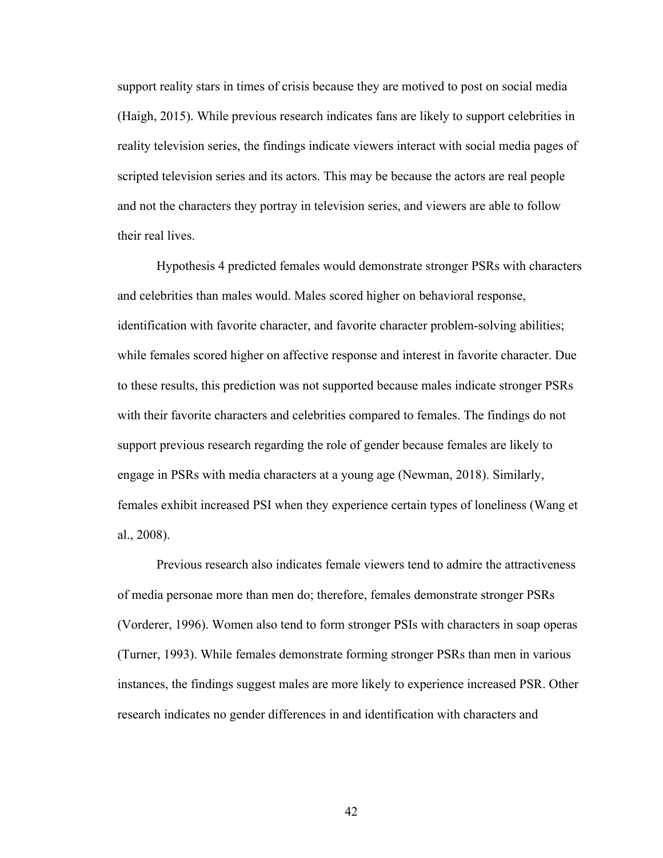support reality stars in times of crisis because they are motived to post on social media (Haigh, 2015). While previous research indicates fans are likely to support celebrities in reality television series, the findings indicate viewers interact with social media pages of scripted television series and its actors. This may be because the actors are real people and not the characters they portray in television series, and viewers are able to follow their real lives.

Hypothesis 4 predicted females would demonstrate stronger PSRs with characters and celebrities than males would. Males scored higher on behavioral response, identification with favorite character, and favorite character problem-solving abilities; while females scored higher on affective response and interest in favorite character. Due to these results, this prediction was not supported because males indicate stronger PSRs with their favorite characters and celebrities compared to females. The findings do not support previous research regarding the role of gender because females are likely to engage in PSRs with media characters at a young age (Newman, 2018). Similarly, females exhibit increased PSI when they experience certain types of loneliness (Wang et al., 2008).

Previous research also indicates female viewers tend to admire the attractiveness of media personae more than men do; therefore, females demonstrate stronger PSRs (Vorderer, 1996). Women also tend to form stronger PSIs with characters in soap operas (Turner, 1993). While females demonstrate forming stronger PSRs than men in various instances, the findings suggest males are more likely to experience increased PSR. Other research indicates no gender differences in and identification with characters and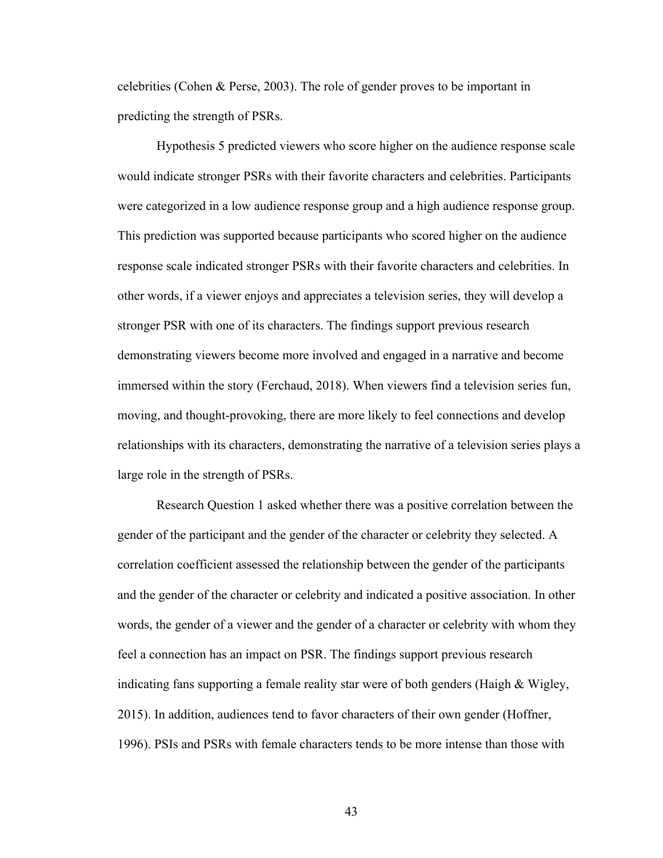celebrities (Cohen & Perse, 2003). The role of gender proves to be important in predicting the strength of PSRs.

Hypothesis 5 predicted viewers who score higher on the audience response scale would indicate stronger PSRs with their favorite characters and celebrities. Participants were categorized in a low audience response group and a high audience response group. This prediction was supported because participants who scored higher on the audience response scale indicated stronger PSRs with their favorite characters and celebrities. In other words, if a viewer enjoys and appreciates a television series, they will develop a stronger PSR with one of its characters. The findings support previous research demonstrating viewers become more involved and engaged in a narrative and become immersed within the story (Ferchaud, 2018). When viewers find a television series fun, moving, and thought-provoking, there are more likely to feel connections and develop relationships with its characters, demonstrating the narrative of a television series plays a large role in the strength of PSRs.

Research Question 1 asked whether there was a positive correlation between the gender of the participant and the gender of the character or celebrity they selected. A correlation coefficient assessed the relationship between the gender of the participants and the gender of the character or celebrity and indicated a positive association. In other words, the gender of a viewer and the gender of a character or celebrity with whom they feel a connection has an impact on PSR. The findings support previous research indicating fans supporting a female reality star were of both genders (Haigh  $\&$  Wigley, 2015). In addition, audiences tend to favor characters of their own gender (Hoffner, 1996). PSIs and PSRs with female characters tends to be more intense than those with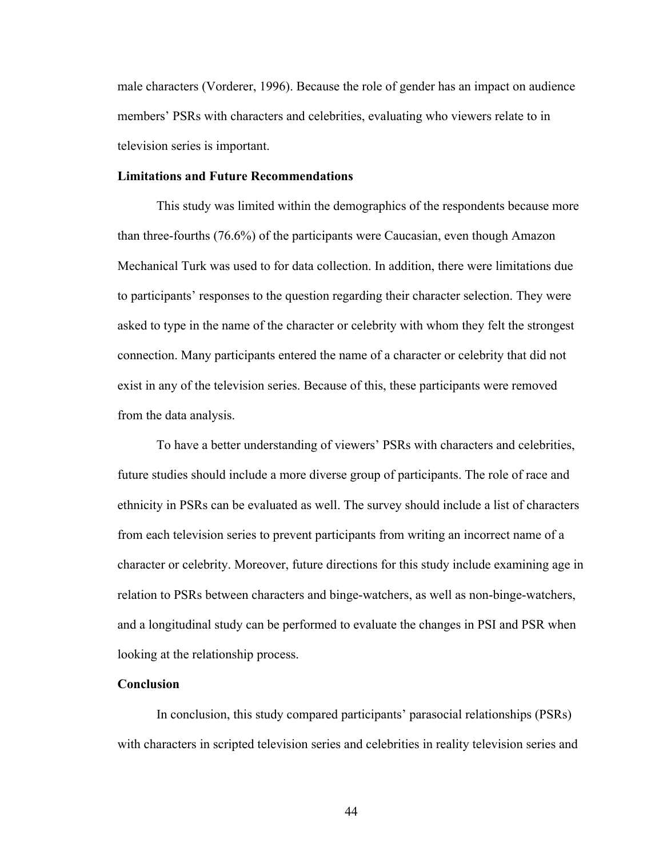male characters (Vorderer, 1996). Because the role of gender has an impact on audience members' PSRs with characters and celebrities, evaluating who viewers relate to in television series is important.

#### **Limitations and Future Recommendations**

This study was limited within the demographics of the respondents because more than three-fourths (76.6%) of the participants were Caucasian, even though Amazon Mechanical Turk was used to for data collection. In addition, there were limitations due to participants' responses to the question regarding their character selection. They were asked to type in the name of the character or celebrity with whom they felt the strongest connection. Many participants entered the name of a character or celebrity that did not exist in any of the television series. Because of this, these participants were removed from the data analysis.

To have a better understanding of viewers' PSRs with characters and celebrities, future studies should include a more diverse group of participants. The role of race and ethnicity in PSRs can be evaluated as well. The survey should include a list of characters from each television series to prevent participants from writing an incorrect name of a character or celebrity. Moreover, future directions for this study include examining age in relation to PSRs between characters and binge-watchers, as well as non-binge-watchers, and a longitudinal study can be performed to evaluate the changes in PSI and PSR when looking at the relationship process.

## **Conclusion**

In conclusion, this study compared participants' parasocial relationships (PSRs) with characters in scripted television series and celebrities in reality television series and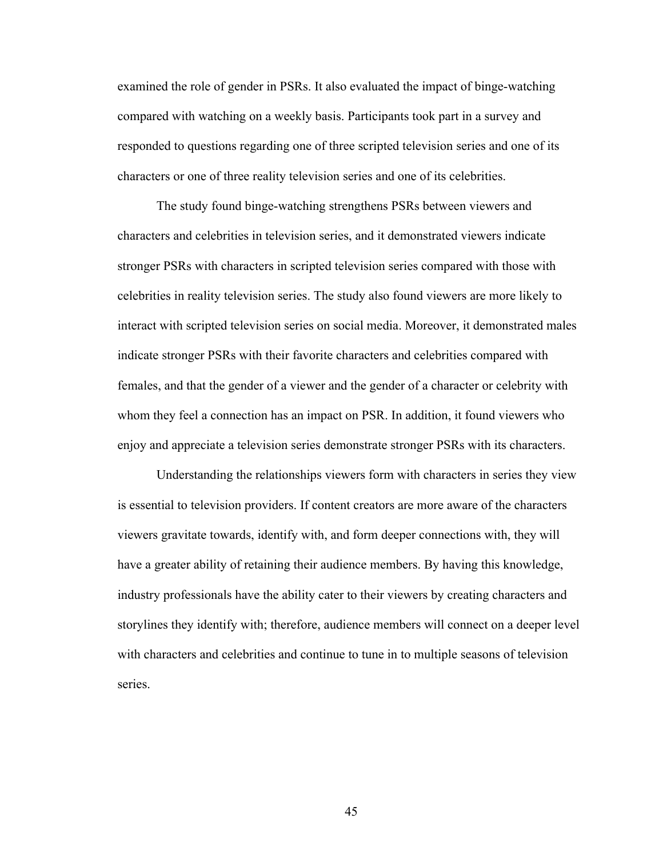examined the role of gender in PSRs. It also evaluated the impact of binge-watching compared with watching on a weekly basis. Participants took part in a survey and responded to questions regarding one of three scripted television series and one of its characters or one of three reality television series and one of its celebrities.

The study found binge-watching strengthens PSRs between viewers and characters and celebrities in television series, and it demonstrated viewers indicate stronger PSRs with characters in scripted television series compared with those with celebrities in reality television series. The study also found viewers are more likely to interact with scripted television series on social media. Moreover, it demonstrated males indicate stronger PSRs with their favorite characters and celebrities compared with females, and that the gender of a viewer and the gender of a character or celebrity with whom they feel a connection has an impact on PSR. In addition, it found viewers who enjoy and appreciate a television series demonstrate stronger PSRs with its characters.

Understanding the relationships viewers form with characters in series they view is essential to television providers. If content creators are more aware of the characters viewers gravitate towards, identify with, and form deeper connections with, they will have a greater ability of retaining their audience members. By having this knowledge, industry professionals have the ability cater to their viewers by creating characters and storylines they identify with; therefore, audience members will connect on a deeper level with characters and celebrities and continue to tune in to multiple seasons of television series.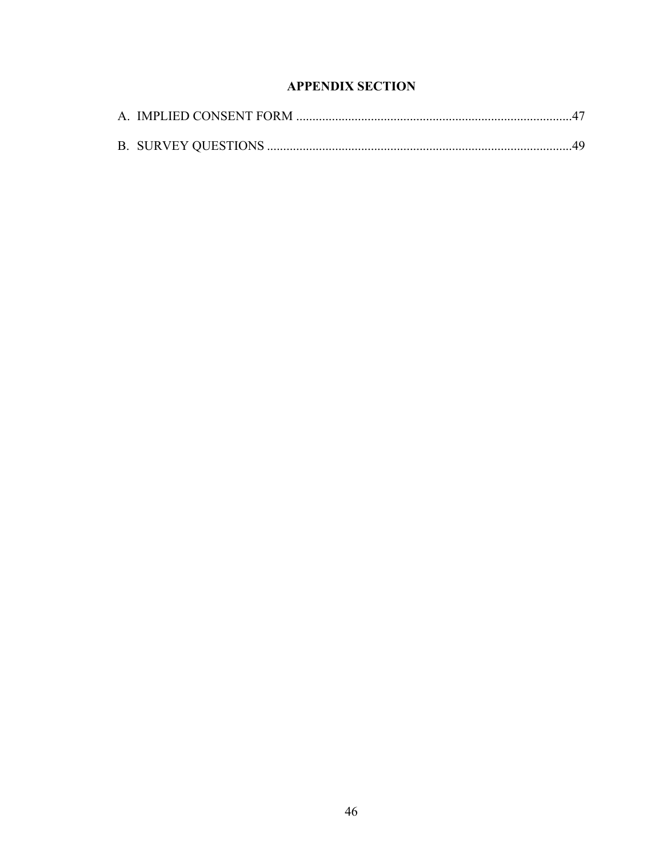# **APPENDIX SECTION**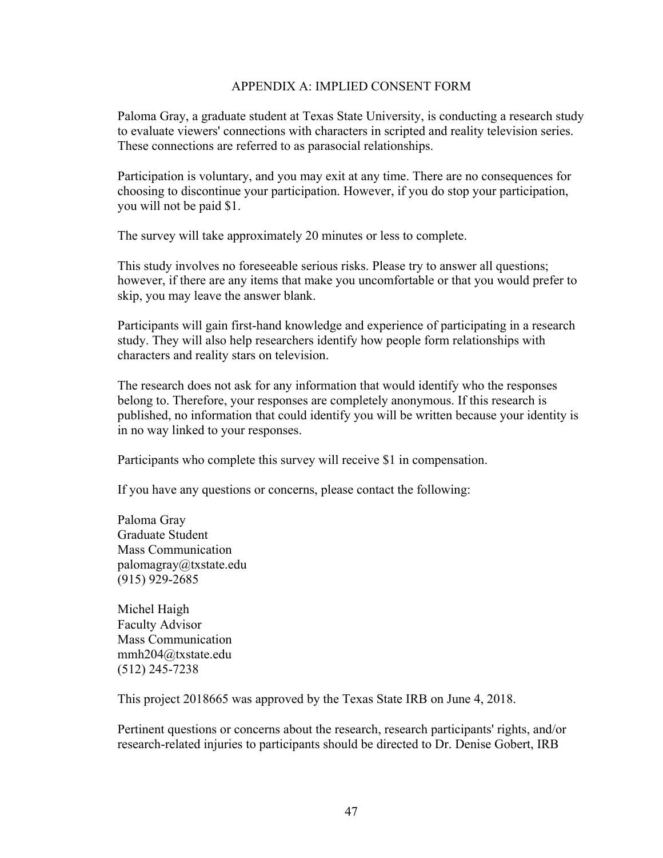# APPENDIX A: IMPLIED CONSENT FORM

Paloma Gray, a graduate student at Texas State University, is conducting a research study to evaluate viewers' connections with characters in scripted and reality television series. These connections are referred to as parasocial relationships.

Participation is voluntary, and you may exit at any time. There are no consequences for choosing to discontinue your participation. However, if you do stop your participation, you will not be paid \$1.

The survey will take approximately 20 minutes or less to complete.

This study involves no foreseeable serious risks. Please try to answer all questions; however, if there are any items that make you uncomfortable or that you would prefer to skip, you may leave the answer blank.

Participants will gain first-hand knowledge and experience of participating in a research study. They will also help researchers identify how people form relationships with characters and reality stars on television.

The research does not ask for any information that would identify who the responses belong to. Therefore, your responses are completely anonymous. If this research is published, no information that could identify you will be written because your identity is in no way linked to your responses.

Participants who complete this survey will receive \$1 in compensation.

If you have any questions or concerns, please contact the following:

Paloma Gray Graduate Student Mass Communication palomagray@txstate.edu (915) 929-2685

Michel Haigh Faculty Advisor Mass Communication mmh204@txstate.edu (512) 245-7238

This project 2018665 was approved by the Texas State IRB on June 4, 2018.

Pertinent questions or concerns about the research, research participants' rights, and/or research-related injuries to participants should be directed to Dr. Denise Gobert, IRB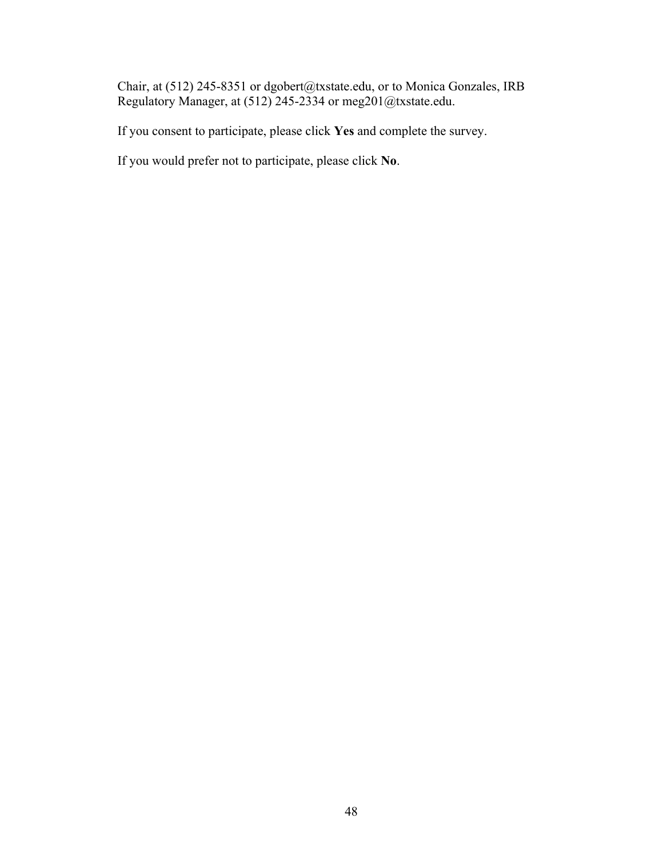Chair, at (512) 245-8351 or dgobert@txstate.edu, or to Monica Gonzales, IRB Regulatory Manager, at (512) 245-2334 or meg201@txstate.edu.

If you consent to participate, please click **Yes** and complete the survey.

If you would prefer not to participate, please click **No**.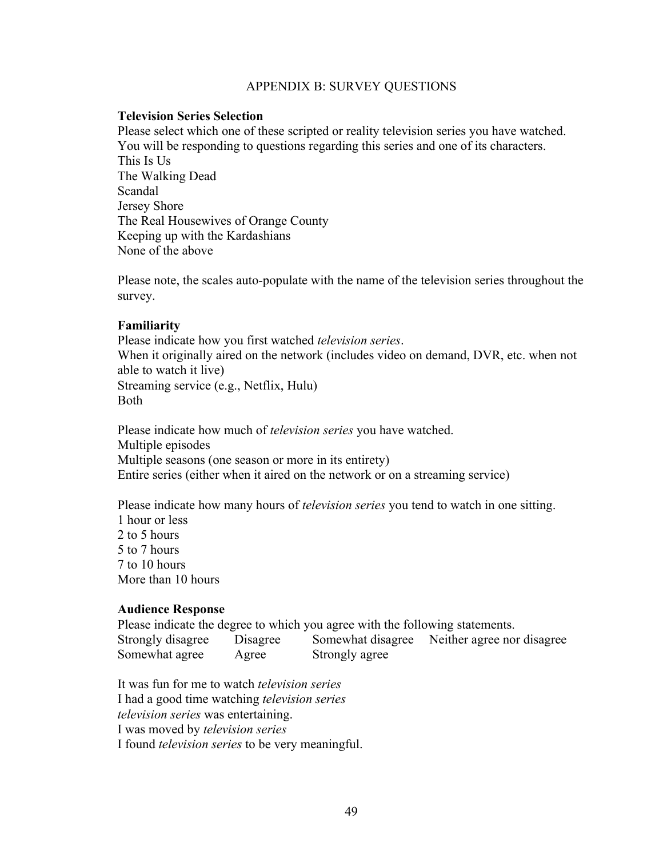# APPENDIX B: SURVEY QUESTIONS

# **Television Series Selection**

Please select which one of these scripted or reality television series you have watched. You will be responding to questions regarding this series and one of its characters. This Is Us The Walking Dead Scandal Jersey Shore The Real Housewives of Orange County Keeping up with the Kardashians None of the above

Please note, the scales auto-populate with the name of the television series throughout the survey.

# **Familiarity**

Please indicate how you first watched *television series*. When it originally aired on the network (includes video on demand, DVR, etc. when not able to watch it live) Streaming service (e.g., Netflix, Hulu) Both

Please indicate how much of *television series* you have watched. Multiple episodes Multiple seasons (one season or more in its entirety) Entire series (either when it aired on the network or on a streaming service)

Please indicate how many hours of *television series* you tend to watch in one sitting.

1 hour or less 2 to 5 hours 5 to 7 hours 7 to 10 hours More than 10 hours

### **Audience Response**

Please indicate the degree to which you agree with the following statements. Strongly disagree Disagree Somewhat disagree Neither agree nor disagree Somewhat agree Agree Strongly agree

It was fun for me to watch *television series* I had a good time watching *television series television series* was entertaining. I was moved by *television series* I found *television series* to be very meaningful.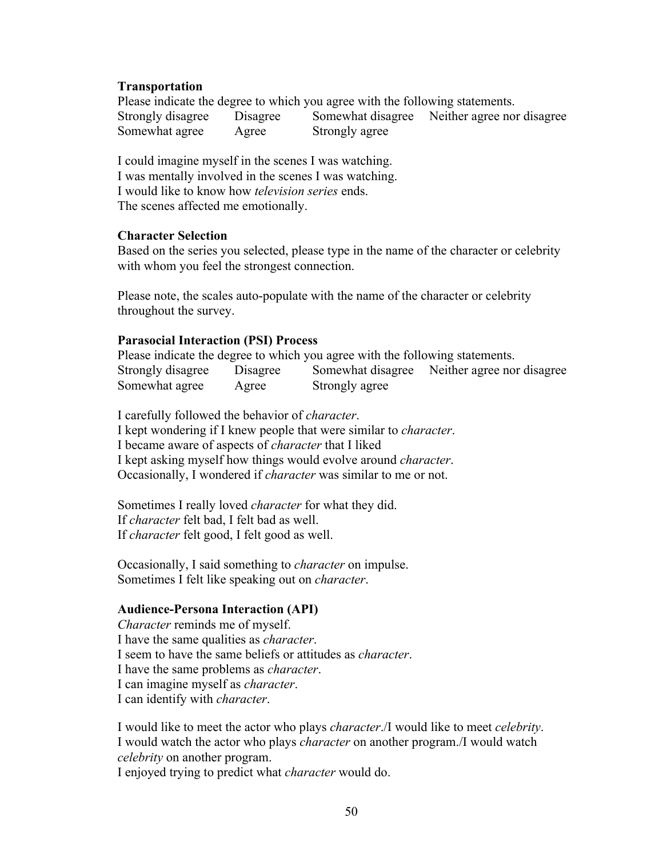### **Transportation**

Please indicate the degree to which you agree with the following statements. Strongly disagree Disagree Somewhat disagree Neither agree nor disagree Somewhat agree Agree Strongly agree

I could imagine myself in the scenes I was watching. I was mentally involved in the scenes I was watching. I would like to know how *television series* ends. The scenes affected me emotionally.

### **Character Selection**

Based on the series you selected, please type in the name of the character or celebrity with whom you feel the strongest connection.

Please note, the scales auto-populate with the name of the character or celebrity throughout the survey.

# **Parasocial Interaction (PSI) Process**

Please indicate the degree to which you agree with the following statements. Strongly disagree Disagree Somewhat disagree Neither agree nor disagree Somewhat agree Agree Strongly agree

I carefully followed the behavior of *character*. I kept wondering if I knew people that were similar to *character*. I became aware of aspects of *character* that I liked I kept asking myself how things would evolve around *character*. Occasionally, I wondered if *character* was similar to me or not.

Sometimes I really loved *character* for what they did. If *character* felt bad, I felt bad as well. If *character* felt good, I felt good as well.

Occasionally, I said something to *character* on impulse. Sometimes I felt like speaking out on *character*.

### **Audience-Persona Interaction (API)**

*Character* reminds me of myself. I have the same qualities as *character*. I seem to have the same beliefs or attitudes as *character*. I have the same problems as *character*. I can imagine myself as *character*. I can identify with *character*.

I would like to meet the actor who plays *character*./I would like to meet *celebrity*. I would watch the actor who plays *character* on another program./I would watch *celebrity* on another program. I enjoyed trying to predict what *character* would do.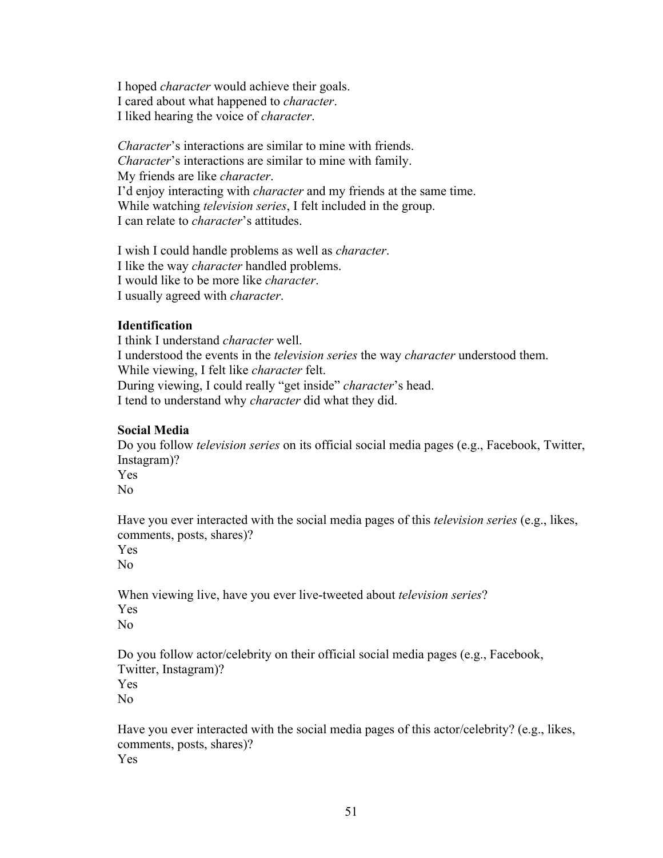I hoped *character* would achieve their goals. I cared about what happened to *character*. I liked hearing the voice of *character*.

*Character*'s interactions are similar to mine with friends. *Character*'s interactions are similar to mine with family. My friends are like *character*. I'd enjoy interacting with *character* and my friends at the same time. While watching *television series*, I felt included in the group. I can relate to *character*'s attitudes.

I wish I could handle problems as well as *character*. I like the way *character* handled problems. I would like to be more like *character*. I usually agreed with *character*.

## **Identification**

I think I understand *character* well. I understood the events in the *television series* the way *character* understood them. While viewing, I felt like *character* felt. During viewing, I could really "get inside" *character*'s head. I tend to understand why *character* did what they did.

#### **Social Media**

Do you follow *television series* on its official social media pages (e.g., Facebook, Twitter, Instagram)? Yes No

Have you ever interacted with the social media pages of this *television series* (e.g., likes, comments, posts, shares)?

Yes No

When viewing live, have you ever live-tweeted about *television series*? Yes No

Do you follow actor/celebrity on their official social media pages (e.g., Facebook, Twitter, Instagram)? Yes

No

Have you ever interacted with the social media pages of this actor/celebrity? (e.g., likes, comments, posts, shares)? Yes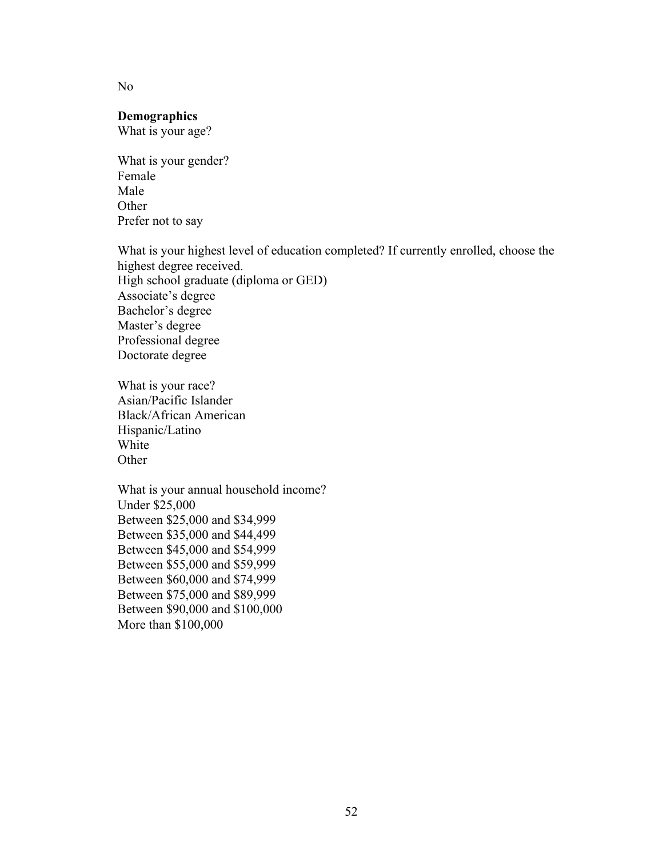No

#### **Demographics**

What is your age?

What is your gender? Female Male **Other** Prefer not to say

What is your highest level of education completed? If currently enrolled, choose the highest degree received. High school graduate (diploma or GED) Associate's degree Bachelor's degree Master's degree Professional degree Doctorate degree

What is your race? Asian/Pacific Islander Black/African American Hispanic/Latino White **Other** 

What is your annual household income? Under \$25,000 Between \$25,000 and \$34,999 Between \$35,000 and \$44,499 Between \$45,000 and \$54,999 Between \$55,000 and \$59,999 Between \$60,000 and \$74,999 Between \$75,000 and \$89,999 Between \$90,000 and \$100,000 More than \$100,000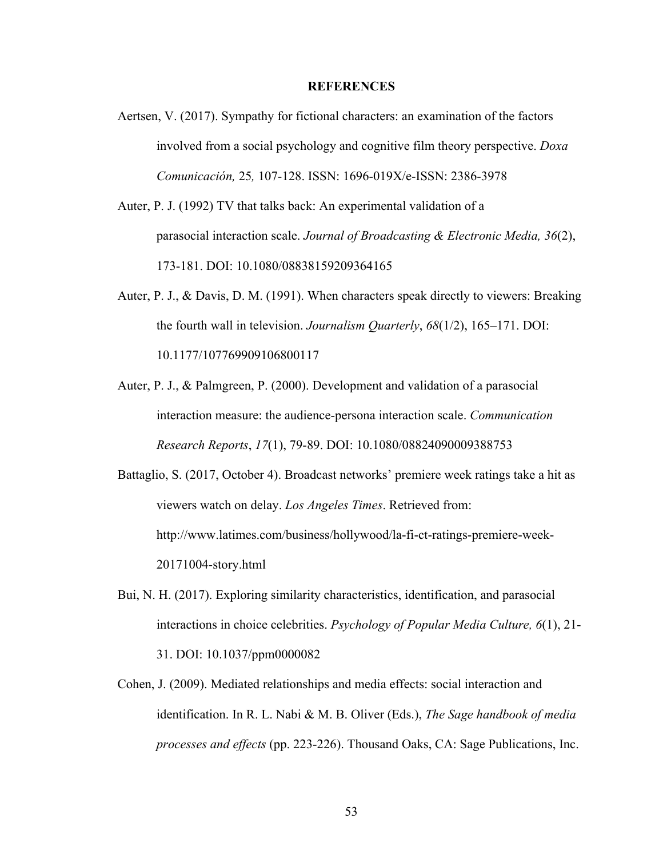#### **REFERENCES**

- Aertsen, V. (2017). Sympathy for fictional characters: an examination of the factors involved from a social psychology and cognitive film theory perspective. *Doxa Comunicación,* 25*,* 107-128. ISSN: 1696-019X/e-ISSN: 2386-3978
- Auter, P. J. (1992) TV that talks back: An experimental validation of a parasocial interaction scale. *Journal of Broadcasting & Electronic Media, 36*(2), 173-181. DOI: 10.1080/08838159209364165
- Auter, P. J., & Davis, D. M. (1991). When characters speak directly to viewers: Breaking the fourth wall in television. *Journalism Quarterly*, *68*(1/2), 165–171. DOI: 10.1177/107769909106800117
- Auter, P. J., & Palmgreen, P. (2000). Development and validation of a parasocial interaction measure: the audience-persona interaction scale. *Communication Research Reports*, *17*(1), 79-89. DOI: 10.1080/08824090009388753

Battaglio, S. (2017, October 4). Broadcast networks' premiere week ratings take a hit as viewers watch on delay. *Los Angeles Times*. Retrieved from: http://www.latimes.com/business/hollywood/la-fi-ct-ratings-premiere-week-20171004-story.html

- Bui, N. H. (2017). Exploring similarity characteristics, identification, and parasocial interactions in choice celebrities. *Psychology of Popular Media Culture, 6*(1), 21- 31. DOI: 10.1037/ppm0000082
- Cohen, J. (2009). Mediated relationships and media effects: social interaction and identification. In R. L. Nabi & M. B. Oliver (Eds.), *The Sage handbook of media processes and effects* (pp. 223-226). Thousand Oaks, CA: Sage Publications, Inc.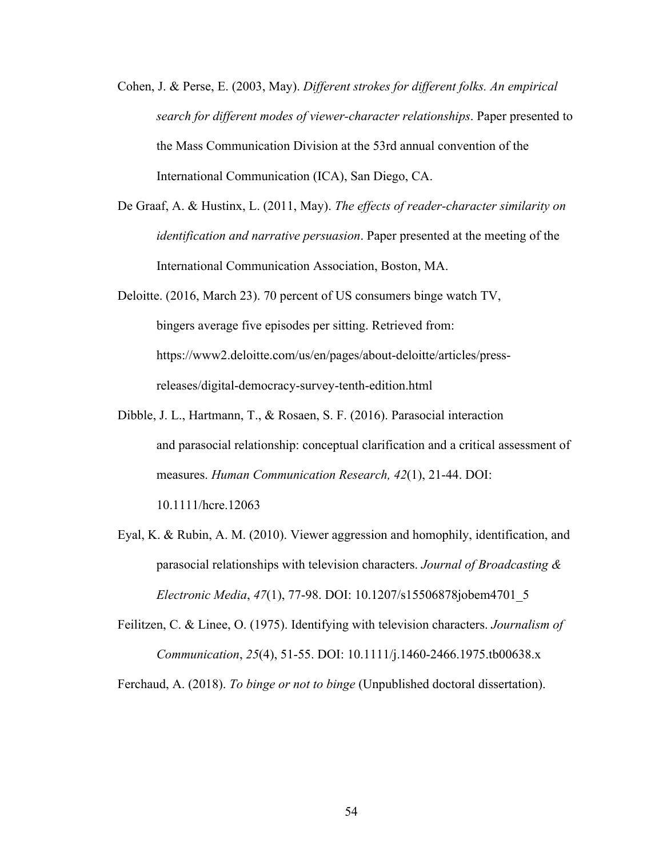- Cohen, J. & Perse, E. (2003, May). *Different strokes for different folks. An empirical search for different modes of viewer-character relationships*. Paper presented to the Mass Communication Division at the 53rd annual convention of the International Communication (ICA), San Diego, CA.
- De Graaf, A. & Hustinx, L. (2011, May). *The effects of reader-character similarity on identification and narrative persuasion*. Paper presented at the meeting of the International Communication Association, Boston, MA.
- Deloitte. (2016, March 23). 70 percent of US consumers binge watch TV, bingers average five episodes per sitting. Retrieved from: https://www2.deloitte.com/us/en/pages/about-deloitte/articles/pressreleases/digital-democracy-survey-tenth-edition.html
- Dibble, J. L., Hartmann, T., & Rosaen, S. F. (2016). Parasocial interaction and parasocial relationship: conceptual clarification and a critical assessment of measures. *Human Communication Research, 42*(1), 21-44. DOI: 10.1111/hcre.12063
- Eyal, K. & Rubin, A. M. (2010). Viewer aggression and homophily, identification, and parasocial relationships with television characters. *Journal of Broadcasting & Electronic Media*, *47*(1), 77-98. DOI: 10.1207/s15506878jobem4701\_5

Feilitzen, C. & Linee, O. (1975). Identifying with television characters. *Journalism of Communication*, *25*(4), 51-55. DOI: 10.1111/j.1460-2466.1975.tb00638.x

Ferchaud, A. (2018). *To binge or not to binge* (Unpublished doctoral dissertation).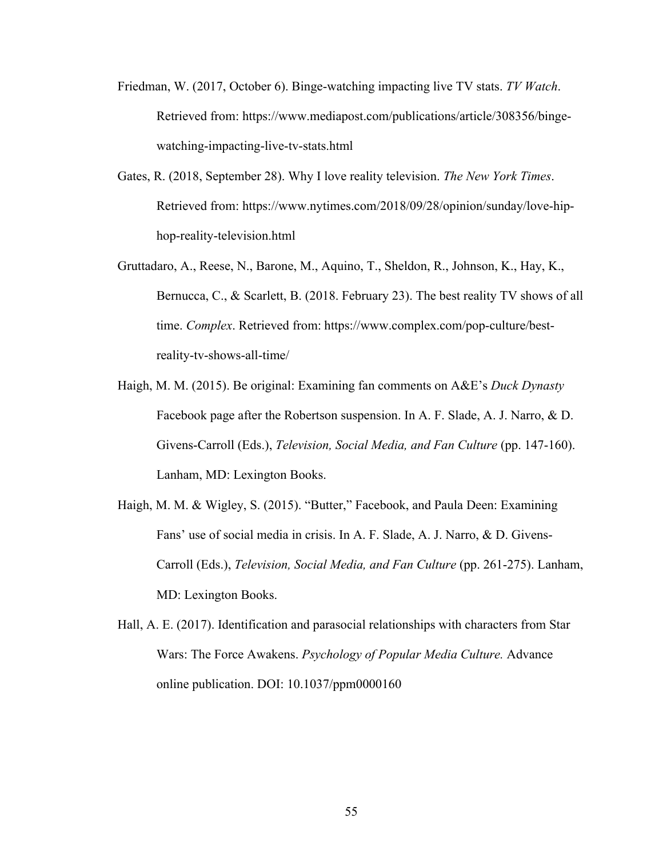- Friedman, W. (2017, October 6). Binge-watching impacting live TV stats. *TV Watch*. Retrieved from: https://www.mediapost.com/publications/article/308356/bingewatching-impacting-live-tv-stats.html
- Gates, R. (2018, September 28). Why I love reality television. *The New York Times*. Retrieved from: https://www.nytimes.com/2018/09/28/opinion/sunday/love-hiphop-reality-television.html
- Gruttadaro, A., Reese, N., Barone, M., Aquino, T., Sheldon, R., Johnson, K., Hay, K., Bernucca, C., & Scarlett, B. (2018. February 23). The best reality TV shows of all time. *Complex*. Retrieved from: https://www.complex.com/pop-culture/bestreality-tv-shows-all-time/
- Haigh, M. M. (2015). Be original: Examining fan comments on A&E's *Duck Dynasty* Facebook page after the Robertson suspension. In A. F. Slade, A. J. Narro, & D. Givens-Carroll (Eds.), *Television, Social Media, and Fan Culture* (pp. 147-160). Lanham, MD: Lexington Books.
- Haigh, M. M. & Wigley, S. (2015). "Butter," Facebook, and Paula Deen: Examining Fans' use of social media in crisis. In A. F. Slade, A. J. Narro, & D. Givens-Carroll (Eds.), *Television, Social Media, and Fan Culture* (pp. 261-275). Lanham, MD: Lexington Books.
- Hall, A. E. (2017). Identification and parasocial relationships with characters from Star Wars: The Force Awakens. *Psychology of Popular Media Culture.* Advance online publication. DOI: 10.1037/ppm0000160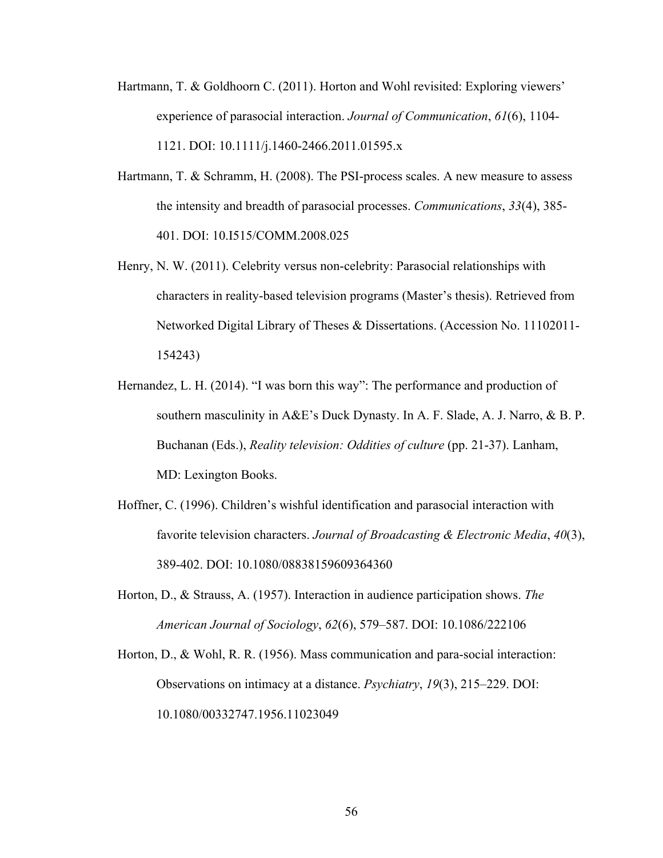- Hartmann, T. & Goldhoorn C. (2011). Horton and Wohl revisited: Exploring viewers' experience of parasocial interaction. *Journal of Communication*, *61*(6), 1104- 1121. DOI: 10.1111/j.1460-2466.2011.01595.x
- Hartmann, T. & Schramm, H. (2008). The PSI-process scales. A new measure to assess the intensity and breadth of parasocial processes. *Communications*, *33*(4), 385- 401. DOI: 10.I515/COMM.2008.025
- Henry, N. W. (2011). Celebrity versus non-celebrity: Parasocial relationships with characters in reality-based television programs (Master's thesis). Retrieved from Networked Digital Library of Theses & Dissertations. (Accession No. 11102011- 154243)
- Hernandez, L. H. (2014). "I was born this way": The performance and production of southern masculinity in A&E's Duck Dynasty. In A. F. Slade, A. J. Narro, & B. P. Buchanan (Eds.), *Reality television: Oddities of culture* (pp. 21-37). Lanham, MD: Lexington Books.
- Hoffner, C. (1996). Children's wishful identification and parasocial interaction with favorite television characters. *Journal of Broadcasting & Electronic Media*, *40*(3), 389-402. DOI: 10.1080/08838159609364360
- Horton, D., & Strauss, A. (1957). Interaction in audience participation shows. *The American Journal of Sociology*, *62*(6), 579–587. DOI: 10.1086/222106

Horton, D., & Wohl, R. R. (1956). Mass communication and para-social interaction: Observations on intimacy at a distance. *Psychiatry*, *19*(3), 215–229. DOI: 10.1080/00332747.1956.11023049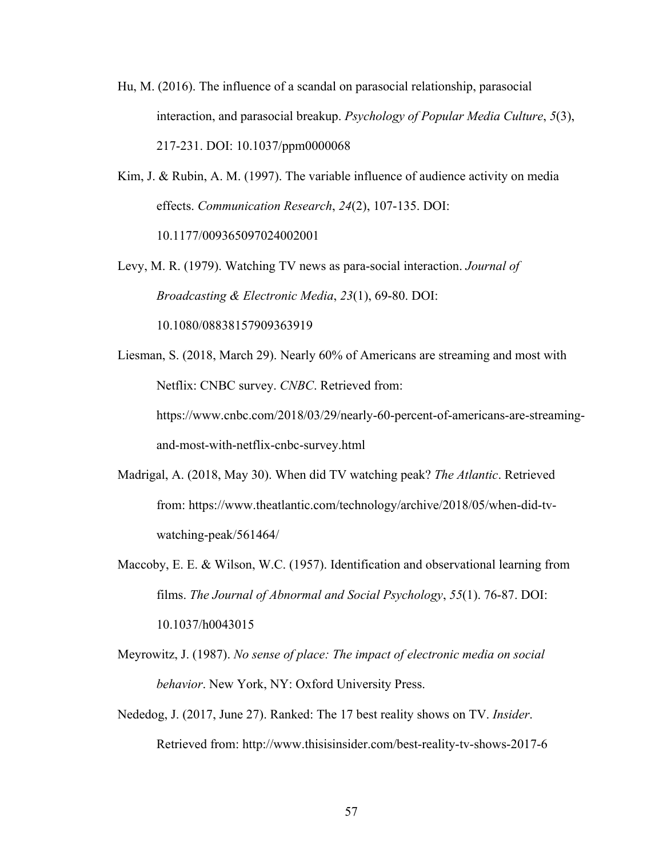- Hu, M. (2016). The influence of a scandal on parasocial relationship, parasocial interaction, and parasocial breakup. *Psychology of Popular Media Culture*, *5*(3), 217-231. DOI: 10.1037/ppm0000068
- Kim, J. & Rubin, A. M. (1997). The variable influence of audience activity on media effects. *Communication Research*, *24*(2), 107-135. DOI: 10.1177/009365097024002001

Levy, M. R. (1979). Watching TV news as para-social interaction. *Journal of Broadcasting & Electronic Media*, *23*(1), 69-80. DOI: 10.1080/08838157909363919

Liesman, S. (2018, March 29). Nearly 60% of Americans are streaming and most with Netflix: CNBC survey. *CNBC*. Retrieved from: https://www.cnbc.com/2018/03/29/nearly-60-percent-of-americans-are-streamingand-most-with-netflix-cnbc-survey.html

- Madrigal, A. (2018, May 30). When did TV watching peak? *The Atlantic*. Retrieved from: https://www.theatlantic.com/technology/archive/2018/05/when-did-tvwatching-peak/561464/
- Maccoby, E. E. & Wilson, W.C. (1957). Identification and observational learning from films. *The Journal of Abnormal and Social Psychology*, *55*(1). 76-87. DOI: 10.1037/h0043015
- Meyrowitz, J. (1987). *No sense of place: The impact of electronic media on social behavior*. New York, NY: Oxford University Press.
- Nededog, J. (2017, June 27). Ranked: The 17 best reality shows on TV. *Insider*. Retrieved from: http://www.thisisinsider.com/best-reality-tv-shows-2017-6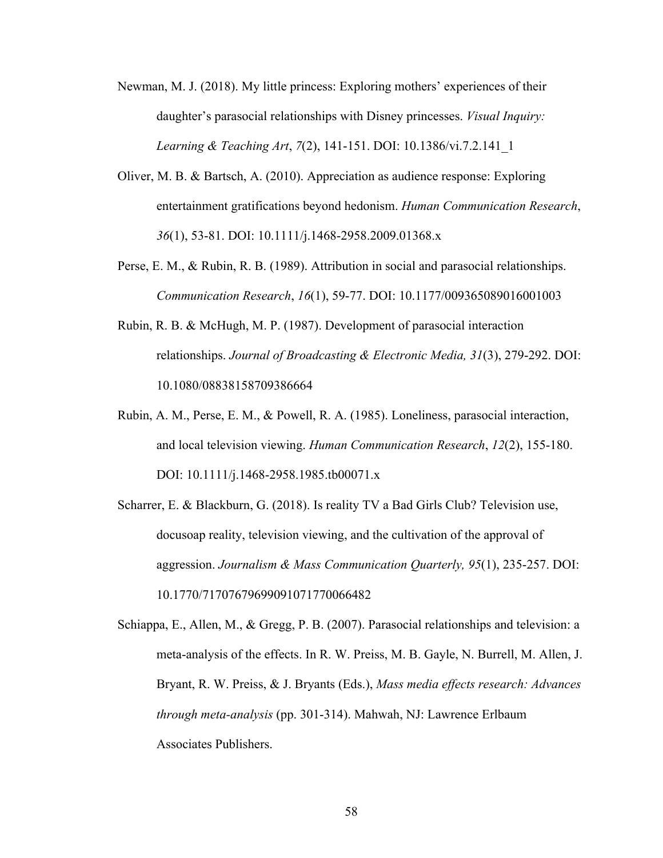- Newman, M. J. (2018). My little princess: Exploring mothers' experiences of their daughter's parasocial relationships with Disney princesses. *Visual Inquiry: Learning & Teaching Art*, *7*(2), 141-151. DOI: 10.1386/vi.7.2.141\_1
- Oliver, M. B. & Bartsch, A. (2010). Appreciation as audience response: Exploring entertainment gratifications beyond hedonism. *Human Communication Research*, *36*(1), 53-81. DOI: 10.1111/j.1468-2958.2009.01368.x
- Perse, E. M., & Rubin, R. B. (1989). Attribution in social and parasocial relationships. *Communication Research*, *16*(1), 59-77. DOI: 10.1177/009365089016001003
- Rubin, R. B. & McHugh, M. P. (1987). Development of parasocial interaction relationships. *Journal of Broadcasting & Electronic Media, 31*(3), 279-292. DOI: 10.1080/08838158709386664
- Rubin, A. M., Perse, E. M., & Powell, R. A. (1985). Loneliness, parasocial interaction, and local television viewing. *Human Communication Research*, *12*(2), 155-180. DOI: 10.1111/j.1468-2958.1985.tb00071.x
- Scharrer, E. & Blackburn, G. (2018). Is reality TV a Bad Girls Club? Television use, docusoap reality, television viewing, and the cultivation of the approval of aggression. *Journalism & Mass Communication Quarterly, 95*(1), 235-257. DOI: 10.1770/71707679699091071770066482
- Schiappa, E., Allen, M., & Gregg, P. B. (2007). Parasocial relationships and television: a meta-analysis of the effects. In R. W. Preiss, M. B. Gayle, N. Burrell, M. Allen, J. Bryant, R. W. Preiss, & J. Bryants (Eds.), *Mass media effects research: Advances through meta-analysis* (pp. 301-314). Mahwah, NJ: Lawrence Erlbaum Associates Publishers.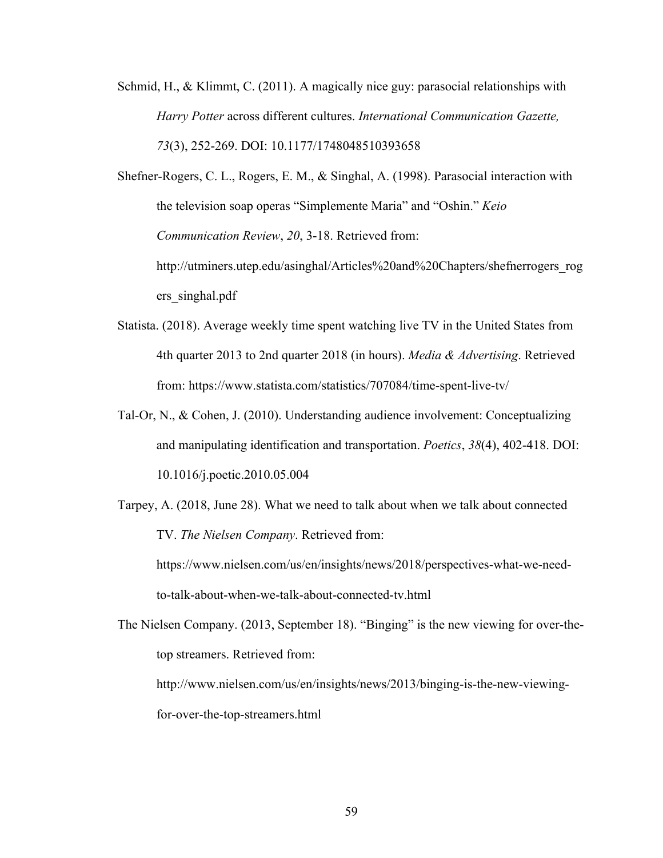- Schmid, H., & Klimmt, C. (2011). A magically nice guy: parasocial relationships with *Harry Potter* across different cultures. *International Communication Gazette, 73*(3), 252-269. DOI: 10.1177/1748048510393658
- Shefner-Rogers, C. L., Rogers, E. M., & Singhal, A. (1998). Parasocial interaction with the television soap operas "Simplemente Maria" and "Oshin." *Keio Communication Review*, *20*, 3-18. Retrieved from: http://utminers.utep.edu/asinghal/Articles%20and%20Chapters/shefnerrogers\_rog ers\_singhal.pdf
- Statista. (2018). Average weekly time spent watching live TV in the United States from 4th quarter 2013 to 2nd quarter 2018 (in hours). *Media & Advertising*. Retrieved from: https://www.statista.com/statistics/707084/time-spent-live-tv/
- Tal-Or, N., & Cohen, J. (2010). Understanding audience involvement: Conceptualizing and manipulating identification and transportation. *Poetics*, *38*(4), 402-418. DOI: 10.1016/j.poetic.2010.05.004
- Tarpey, A. (2018, June 28). What we need to talk about when we talk about connected TV. *The Nielsen Company*. Retrieved from: https://www.nielsen.com/us/en/insights/news/2018/perspectives-what-we-need-

to-talk-about-when-we-talk-about-connected-tv.html

The Nielsen Company. (2013, September 18). "Binging" is the new viewing for over-thetop streamers. Retrieved from:

http://www.nielsen.com/us/en/insights/news/2013/binging-is-the-new-viewingfor-over-the-top-streamers.html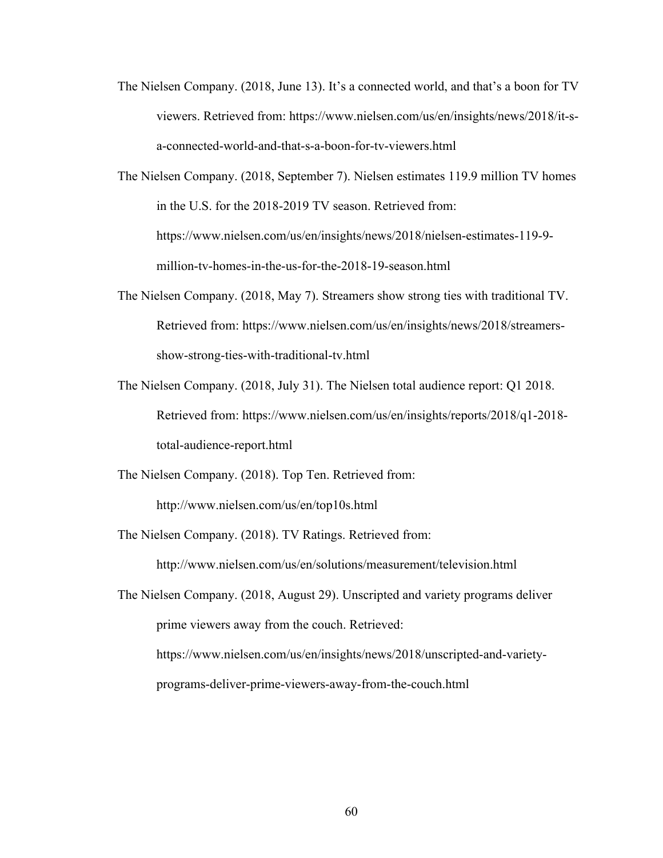- The Nielsen Company. (2018, June 13). It's a connected world, and that's a boon for TV viewers. Retrieved from: https://www.nielsen.com/us/en/insights/news/2018/it-sa-connected-world-and-that-s-a-boon-for-tv-viewers.html
- The Nielsen Company. (2018, September 7). Nielsen estimates 119.9 million TV homes in the U.S. for the 2018-2019 TV season. Retrieved from: https://www.nielsen.com/us/en/insights/news/2018/nielsen-estimates-119-9 million-tv-homes-in-the-us-for-the-2018-19-season.html
- The Nielsen Company. (2018, May 7). Streamers show strong ties with traditional TV. Retrieved from: https://www.nielsen.com/us/en/insights/news/2018/streamersshow-strong-ties-with-traditional-tv.html
- The Nielsen Company. (2018, July 31). The Nielsen total audience report: Q1 2018. Retrieved from: https://www.nielsen.com/us/en/insights/reports/2018/q1-2018 total-audience-report.html
- The Nielsen Company. (2018). Top Ten. Retrieved from: http://www.nielsen.com/us/en/top10s.html
- The Nielsen Company. (2018). TV Ratings. Retrieved from:

http://www.nielsen.com/us/en/solutions/measurement/television.html

The Nielsen Company. (2018, August 29). Unscripted and variety programs deliver prime viewers away from the couch. Retrieved: https://www.nielsen.com/us/en/insights/news/2018/unscripted-and-varietyprograms-deliver-prime-viewers-away-from-the-couch.html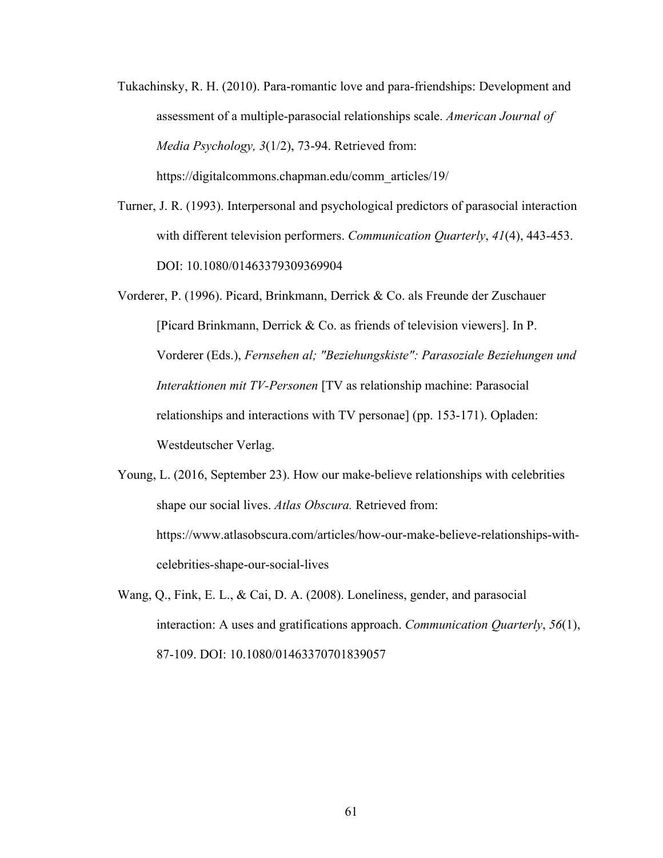- Tukachinsky, R. H. (2010). Para-romantic love and para-friendships: Development and assessment of a multiple-parasocial relationships scale. *American Journal of Media Psychology, 3*(1/2), 73-94. Retrieved from: https://digitalcommons.chapman.edu/comm\_articles/19/
- Turner, J. R. (1993). Interpersonal and psychological predictors of parasocial interaction with different television performers. *Communication Quarterly*, *41*(4), 443-453. DOI: 10.1080/01463379309369904

Vorderer, P. (1996). Picard, Brinkmann, Derrick & Co. als Freunde der Zuschauer [Picard Brinkmann, Derrick & Co. as friends of television viewers]. In P. Vorderer (Eds.), *Fernsehen al; "Beziehungskiste": Parasoziale Beziehungen und Interaktionen mit TV-Personen* [TV as relationship machine: Parasocial relationships and interactions with TV personae] (pp. 153-171). Opladen: Westdeutscher Verlag.

- Young, L. (2016, September 23). How our make-believe relationships with celebrities shape our social lives. *Atlas Obscura.* Retrieved from: https://www.atlasobscura.com/articles/how-our-make-believe-relationships-withcelebrities-shape-our-social-lives
- Wang, Q., Fink, E. L., & Cai, D. A. (2008). Loneliness, gender, and parasocial interaction: A uses and gratifications approach. *Communication Quarterly*, *56*(1), 87-109. DOI: 10.1080/01463370701839057